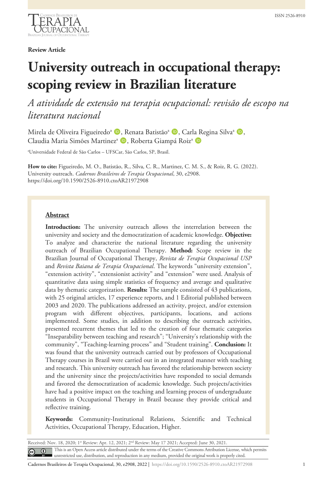**Review Article**

# **University outreach in occupational therapy: scoping review in Brazilian literature**

*A atividade de extensão na terapia ocupacional: revisão de escopo na literatura nacional*

Mirela de Oliveira Figueiredo<sup>a (D</sup>, Renata Batistão<sup>a (D</sup>, Carla Regina Silva<sup>a (D</sup>, Claudia Maria Simões Martinez<sup>a</sup> D, Roberta Giampá Roiz<sup>a</sup> D

a Universidade Federal de São Carlos – UFSCar, São Carlos, SP, Brasil.

**How to cite:** Figueiredo, M. O., Batistão, R., Silva, C. R., Martinez, C. M. S., & Roiz, R. G. (2022). University outreach. *Cadernos Brasileiros de Terapia Ocupacional*, 30, e2908. https://doi.org/10.1590/2526-8910.ctoAR21972908

## **Abstract**

**Introduction:** The university outreach allows the interrelation between the university and society and the democratization of academic knowledge. **Objective:** To analyze and characterize the national literature regarding the university outreach of Brazilian Occupational Therapy. **Method:** Scope review in the Brazilian Journal of Occupational Therapy, *Revista de Terapia Ocupacional USP* and *Revista Baiana de Terapia Ocupacional*. The keywords "university extension", "extension activity", "extensionist activity" and "extension" were used. Analysis of quantitative data using simple statistics of frequency and average and qualitative data by thematic categorization. **Results:** The sample consisted of 43 publications, with 25 original articles, 17 experience reports, and 1 Editorial published between 2003 and 2020. The publications addressed an activity, project, and/or extension program with different objectives, participants, locations, and actions implemented. Some studies, in addition to describing the outreach activities, presented recurrent themes that led to the creation of four thematic categories "Inseparability between teaching and research"; "University's relationship with the community", "Teaching-learning process" and "Student training". **Conclusion:** It was found that the university outreach carried out by professors of Occupational Therapy courses in Brazil were carried out in an integrated manner with teaching and research. This university outreach has favored the relationship between society and the university since the projects/activities have responded to social demands and favored the democratization of academic knowledge. Such projects/activities have had a positive impact on the teaching and learning process of undergraduate students in Occupational Therapy in Brazil because they provide critical and reflective training.

**Keywords:** Community-Institutional Relations, Scientific and Technical Activities, Occupational Therapy, Education, Higher.

Received: Nov. 18, 2020; 1<sup>st</sup> Review: Apr. 12, 2021; 2<sup>nd</sup> Review: May 17 2021; Accepted: June 30, 2021 This is an Open Access article distributed under the terms of the Creative Commons Attribution License, which permits  $\odot$ unrestricted use, distribution, and reproduction in any medium, provided the original work is properly cited.

Cadernos Brasileiros de Terapia Ocupacional, 30, e2908, 2022 | https://doi.org/10.1590/2526-8910.ctoAR21972908 1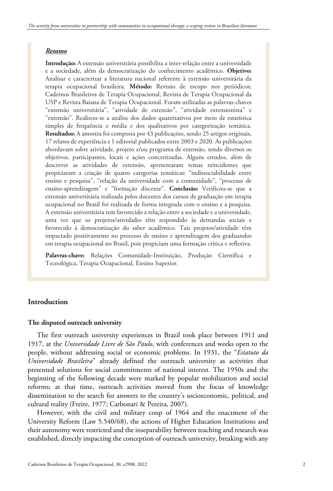## *Resumo*

**Introdução:** A extensão universitária possibilita a inter-relação entre a universidade e a sociedade, além da democratização do conhecimento acadêmico. **Objetivo:** Analisar e caracterizar a literatura nacional referente à extensão universitária da terapia ocupacional brasileira. **Método:** Revisão de escopo nos periódicos: Cadernos Brasileiros de Terapia Ocupacional, Revista de Terapia Ocupacional da USP e Revista Baiana de Terapia Ocupacional. Foram utilizadas as palavras-chaves "extensão universitária", "atividade de extensão", "atividade extensionista" e "extensão". Realizou-se a análise dos dados quantitativos por meio de estatística simples de frequência e média e dos qualitativos por categorização temática. **Resultados:** A amostra foi composta por 43 publicações, sendo 25 artigos originais, 17 relatos de experiência e 1 editorial publicados entre 2003 e 2020. As publicações abordavam sobre atividade, projeto e/ou programa de extensão, sendo diversos os objetivos, participantes, locais e ações concretizadas. Alguns estudos, além de descrever as atividades de extensão, apresentaram temas reincidentes que propiciaram a criação de quatro categorias temáticas: "indissociabilidade entre ensino e pesquisa", "relação da universidade com a comunidade", "processo de ensino-aprendizagem" e "formação discente". **Conclusão:** Verificou-se que a extensão universitária realizada pelos docentes dos cursos de graduação em terapia ocupacional no Brasil foi realizada de forma integrada com o ensino e a pesquisa. A extensão universitária tem favorecido a relação entre a sociedade e a universidade, uma vez que os projetos/atividades têm respondido às demandas sociais e favorecido à democratização do saber acadêmico. Tais projetos/atividade têm impactado positivamente no processo de ensino e aprendizagem dos graduandos em terapia ocupacional no Brasil, pois propiciam uma formação crítica e reflexiva.

**Palavras-chave:** Relações Comunidade-Instituição, Produção Científica e Tecnológica, Terapia Ocupacional, Ensino Superior.

## **Introduction**

#### **The disputed outreach university**

The first outreach university experiences in Brazil took place between 1911 and 1917, at the *Universidade Livre de São Paulo*, with conferences and weeks open to the people, without addressing social or economic problems. In 1931, the "*Estatuto da Universidade Brasileira*" already defined the outreach university as activities that presented solutions for social commitments of national interest. The 1950s and the beginning of the following decade were marked by popular mobilization and social reforms; at that time, outreach activities moved from the focus of knowledge dissemination to the search for answers to the country's socioeconomic, political, and cultural reality (Freire, 1977; Carbonari & Pereira, 2007).

However, with the civil and military coup of 1964 and the enactment of the University Reform (Law 5.540/68), the actions of Higher Education Institutions and their autonomy were restricted and the inseparability between teaching and research was established, directly impacting the conception of outreach university, breaking with any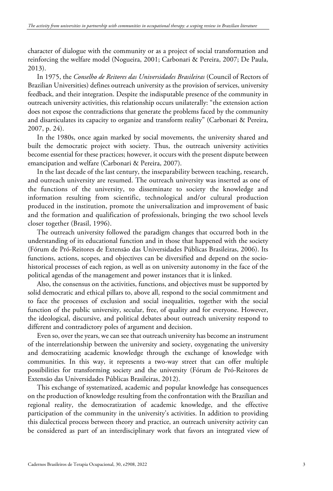character of dialogue with the community or as a project of social transformation and reinforcing the welfare model (Nogueira, 2001; Carbonari & Pereira, 2007; De Paula, 2013).

In 1975, the *Conselho de Reitores das Universidades Brasileiras* (Council of Rectors of Brazilian Universities) defines outreach university as the provision of services, university feedback, and their integration. Despite the indisputable presence of the community in outreach university activities, this relationship occurs unilaterally: "the extension action does not expose the contradictions that generate the problems faced by the community and disarticulates its capacity to organize and transform reality" (Carbonari & Pereira, 2007, p. 24).

In the 1980s, once again marked by social movements, the university shared and built the democratic project with society. Thus, the outreach university activities become essential for these practices; however, it occurs with the present dispute between emancipation and welfare (Carbonari & Pereira, 2007).

In the last decade of the last century, the inseparability between teaching, research, and outreach university are resumed. The outreach university was inserted as one of the functions of the university, to disseminate to society the knowledge and information resulting from scientific, technological and/or cultural production produced in the institution, promote the universalization and improvement of basic and the formation and qualification of professionals, bringing the two school levels closer together (Brasil, 1996).

The outreach university followed the paradigm changes that occurred both in the understanding of its educational function and in those that happened with the society (Fórum de Pró-Reitores de Extensão das Universidades Públicas Brasileiras, 2006). Its functions, actions, scopes, and objectives can be diversified and depend on the sociohistorical processes of each region, as well as on university autonomy in the face of the political agendas of the management and power instances that it is linked.

Also, the consensus on the activities, functions, and objectives must be supported by solid democratic and ethical pillars to, above all, respond to the social commitment and to face the processes of exclusion and social inequalities, together with the social function of the public university, secular, free, of quality and for everyone. However, the ideological, discursive, and political debates about outreach university respond to different and contradictory poles of argument and decision.

Even so, over the years, we can see that outreach university has become an instrument of the interrelationship between the university and society, oxygenating the university and democratizing academic knowledge through the exchange of knowledge with communities. In this way, it represents a two-way street that can offer multiple possibilities for transforming society and the university (Fórum de Pró-Reitores de Extensão das Universidades Públicas Brasileiras, 2012).

This exchange of systematized, academic and popular knowledge has consequences on the production of knowledge resulting from the confrontation with the Brazilian and regional reality, the democratization of academic knowledge, and the effective participation of the community in the university's activities. In addition to providing this dialectical process between theory and practice, an outreach university activity can be considered as part of an interdisciplinary work that favors an integrated view of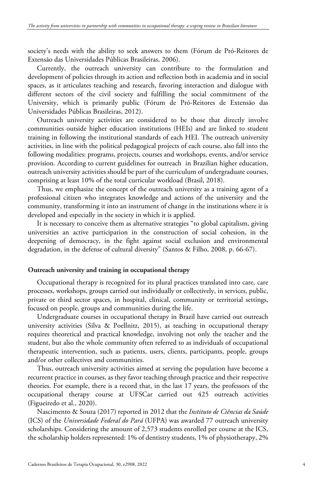society's needs with the ability to seek answers to them (Fórum de Pró-Reitores de Extensão das Universidades Públicas Brasileiras, 2006).

Currently, the outreach university can contribute to the formulation and development of policies through its action and reflection both in academia and in social spaces, as it articulates teaching and research, favoring interaction and dialogue with different sectors of the civil society and fulfilling the social commitment of the University, which is primarily public (Fórum de Pró-Reitores de Extensão das Universidades Públicas Brasileiras, 2012).

Outreach university activities are considered to be those that directly involve communities outside higher education institutions (HEIs) and are linked to student training in following the institutional standards of each HEI. The outreach university activities, in line with the political pedagogical projects of each course, also fall into the following modalities: programs, projects, courses and workshops, events, and/or service provision. According to current guidelines for outreach in Brazilian higher education, outreach university activities should be part of the curriculum of undergraduate courses, comprising at least 10% of the total curricular workload (Brasil, 2018).

Thus, we emphasize the concept of the outreach university as a training agent of a professional citizen who integrates knowledge and actions of the university and the community, transforming it into an instrument of change in the institutions where it is developed and especially in the society in which it is applied.

It is necessary to conceive them as alternative strategies "to global capitalism, giving universities an active participation in the construction of social cohesion, in the deepening of democracy, in the fight against social exclusion and environmental degradation, in the defense of cultural diversity" (Santos & Filho, 2008, p. 66-67).

#### **Outreach university and training in occupational therapy**

Occupational therapy is recognized for its plural practices translated into care, care processes, workshops, groups carried out individually or collectively, in services, public, private or third sector spaces, in hospital, clinical, community or territorial settings, focused on people, groups and communities during the life.

Undergraduate courses in occupational therapy in Brazil have carried out outreach university activities (Silva & Poellnitz, 2015), as teaching in occupational therapy requires theoretical and practical knowledge, involving not only the teacher and the student, but also the whole community often referred to as individuals of occupational therapeutic intervention, such as patients, users, clients, participants, people, groups and/or other collectives and communities.

Thus, outreach university activities aimed at serving the population have become a recurrent practice in courses, as they favor teaching through practice and their respective theories. For example, there is a record that, in the last 17 years, the professors of the occupational therapy course at UFSCar carried out 425 outreach activities (Figueiredo et al., 2020).

Nascimento & Souza (2017) reported in 2012 that the *Instituto de Ciências da Saúde* (ICS) of the *Universidade Federal do Pará* (UFPA) was awarded 77 outreach university scholarships. Considering the amount of 2,573 students enrolled per course at the ICS, the scholarship holders represented: 1% of dentistry students, 1% of physiotherapy, 2%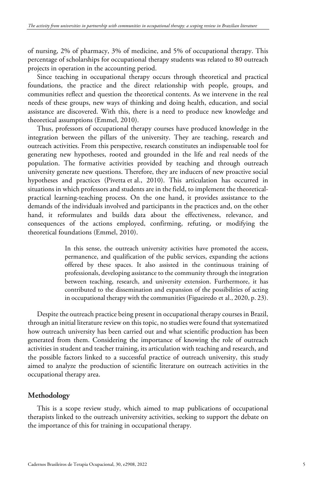of nursing, 2% of pharmacy, 3% of medicine, and 5% of occupational therapy. This percentage of scholarships for occupational therapy students was related to 80 outreach projects in operation in the accounting period.

Since teaching in occupational therapy occurs through theoretical and practical foundations, the practice and the direct relationship with people, groups, and communities reflect and question the theoretical contents. As we intervene in the real needs of these groups, new ways of thinking and doing health, education, and social assistance are discovered. With this, there is a need to produce new knowledge and theoretical assumptions (Emmel, 2010).

Thus, professors of occupational therapy courses have produced knowledge in the integration between the pillars of the university. They are teaching, research and outreach activities. From this perspective, research constitutes an indispensable tool for generating new hypotheses, rooted and grounded in the life and real needs of the population. The formative activities provided by teaching and through outreach university generate new questions. Therefore, they are inducers of new proactive social hypotheses and practices (Pivetta et al., 2010). This articulation has occurred in situations in which professors and students are in the field, to implement the theoreticalpractical learning-teaching process. On the one hand, it provides assistance to the demands of the individuals involved and participants in the practices and, on the other hand, it reformulates and builds data about the effectiveness, relevance, and consequences of the actions employed, confirming, refuting, or modifying the theoretical foundations (Emmel, 2010).

> In this sense, the outreach university activities have promoted the access, permanence, and qualification of the public services, expanding the actions offered by these spaces. It also assisted in the continuous training of professionals, developing assistance to the community through the integration between teaching, research, and university extension. Furthermore, it has contributed to the dissemination and expansion of the possibilities of acting in occupational therapy with the communities (Figueiredo et al., 2020, p. 23).

Despite the outreach practice being present in occupational therapy courses in Brazil, through an initial literature review on this topic, no studies were found that systematized how outreach university has been carried out and what scientific production has been generated from them. Considering the importance of knowing the role of outreach activities in student and teacher training, its articulation with teaching and research, and the possible factors linked to a successful practice of outreach university, this study aimed to analyze the production of scientific literature on outreach activities in the occupational therapy area.

# **Methodology**

This is a scope review study, which aimed to map publications of occupational therapists linked to the outreach university activities, seeking to support the debate on the importance of this for training in occupational therapy.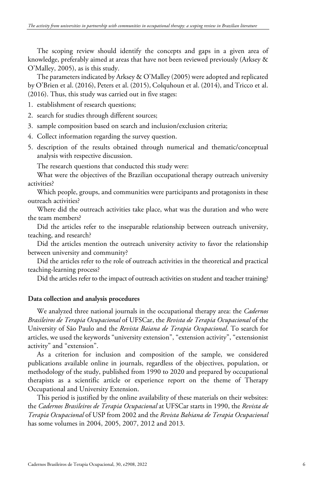The scoping review should identify the concepts and gaps in a given area of knowledge, preferably aimed at areas that have not been reviewed previously (Arksey & O'Malley, 2005), as is this study.

The parameters indicated by Arksey & O'Malley (2005) were adopted and replicated by O'Brien et al. (2016), Peters et al. (2015), Colquhoun et al. (2014), and Tricco et al. (2016). Thus, this study was carried out in five stages:

- 1. establishment of research questions;
- 2. search for studies through different sources;
- 3. sample composition based on search and inclusion/exclusion criteria;
- 4. Collect information regarding the survey question.
- 5. description of the results obtained through numerical and thematic/conceptual analysis with respective discussion.

The research questions that conducted this study were:

What were the objectives of the Brazilian occupational therapy outreach university activities?

Which people, groups, and communities were participants and protagonists in these outreach activities?

Where did the outreach activities take place, what was the duration and who were the team members?

Did the articles refer to the inseparable relationship between outreach university, teaching, and research?

Did the articles mention the outreach university activity to favor the relationship between university and community?

Did the articles refer to the role of outreach activities in the theoretical and practical teaching-learning process?

Did the articles refer to the impact of outreach activities on student and teacher training?

#### **Data collection and analysis procedures**

We analyzed three national journals in the occupational therapy area: the *Cadernos Brasileiros de Terapia Ocupacional* of UFSCar, the *Revista de Terapia Ocupacional* of the University of São Paulo and the *Revista Baiana de Terapia Ocupacional*. To search for articles, we used the keywords "university extension", "extension activity", "extensionist activity" and "extension".

As a criterion for inclusion and composition of the sample, we considered publications available online in journals, regardless of the objectives, population, or methodology of the study, published from 1990 to 2020 and prepared by occupational therapists as a scientific article or experience report on the theme of Therapy Occupational and University Extension.

This period is justified by the online availability of these materials on their websites: the *Cadernos Brasileiros de Terapia Ocupacional* at UFSCar starts in 1990, the *Revista de Terapia Ocupacional* of USP from 2002 and the *Revista Bahiana de Terapia Ocupacional* has some volumes in 2004, 2005, 2007, 2012 and 2013.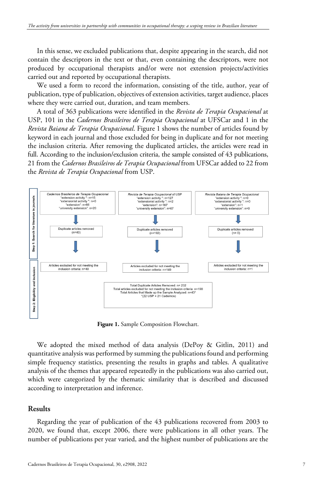In this sense, we excluded publications that, despite appearing in the search, did not contain the descriptors in the text or that, even containing the descriptors, were not produced by occupational therapists and/or were not extension projects/activities carried out and reported by occupational therapists.

We used a form to record the information, consisting of the title, author, year of publication, type of publication, objectives of extension activities, target audience, places where they were carried out, duration, and team members.

A total of 363 publications were identified in the *Revista de Terapia Ocupacional* at USP, 101 in the *Cadernos Brasileiros de Terapia Ocupacional* at UFSCar and 1 in the *Revista Baiana de Terapia Ocupacional*. Figure 1 shows the number of articles found by keyword in each journal and those excluded for being in duplicate and for not meeting the inclusion criteria. After removing the duplicated articles, the articles were read in full. According to the inclusion/exclusion criteria, the sample consisted of 43 publications, 21 from the *Cadernos Brasileiros de Terapia Ocupacional* from UFSCar added to 22 from the *Revista de Terapia Ocupacional* from USP.



**Figure 1.** Sample Composition Flowchart.

We adopted the mixed method of data analysis (DePoy & Gitlin, 2011) and quantitative analysis was performed by summing the publications found and performing simple frequency statistics, presenting the results in graphs and tables. A qualitative analysis of the themes that appeared repeatedly in the publications was also carried out, which were categorized by the thematic similarity that is described and discussed according to interpretation and inference.

## **Results**

Regarding the year of publication of the 43 publications recovered from 2003 to 2020, we found that, except 2006, there were publications in all other years. The number of publications per year varied, and the highest number of publications are the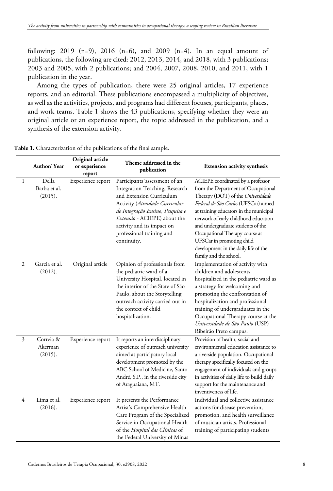following: 2019 (n=9), 2016 (n=6), and 2009 (n=4). In an equal amount of publications, the following are cited: 2012, 2013, 2014, and 2018, with 3 publications; 2003 and 2005, with 2 publications; and 2004, 2007, 2008, 2010, and 2011, with 1 publication in the year.

Among the types of publication, there were 25 original articles, 17 experience reports, and an editorial. These publications encompassed a multiplicity of objectives, as well as the activities, projects, and programs had different focuses, participants, places, and work teams. Table 1 shows the 43 publications, specifying whether they were an original article or an experience report, the topic addressed in the publication, and a synthesis of the extension activity.

|   | Author/Year                      | Original article<br>or experience<br>report | Theme addressed in the<br>publication                                                                                                                                                                                                                                       | Extension activity synthesis                                                                                                                                                                                                                                                                                                                                                                                  |
|---|----------------------------------|---------------------------------------------|-----------------------------------------------------------------------------------------------------------------------------------------------------------------------------------------------------------------------------------------------------------------------------|---------------------------------------------------------------------------------------------------------------------------------------------------------------------------------------------------------------------------------------------------------------------------------------------------------------------------------------------------------------------------------------------------------------|
| 1 | Della<br>Barba et al.<br>(2015). | Experience report                           | Participants'assessment of an<br>Integration Teaching, Research<br>and Extension Curriculum<br>Activity (Atividade Curricular<br>de Integração Ensino, Pesquisa e<br>Extensão - ACIEPE) about the<br>activity and its impact on<br>professional training and<br>continuity. | ACIEPE coordinated by a professor<br>from the Department of Occupational<br>Therapy (DOT) of the Universidade<br>Federal de São Carlos (UFSCar) aimed<br>at training educators in the municipal<br>network of early childhood education<br>and undergraduate students of the<br>Occupational Therapy course at<br>UFSCar in promoting child<br>development in the daily life of the<br>family and the school. |
| 2 | Garcia et al.<br>(2012).         | Original article                            | Opinion of professionals from<br>the pediatric ward of a<br>University Hospital, located in<br>the interior of the State of São<br>Paulo, about the Storytelling<br>outreach activity carried out in<br>the context of child<br>hospitalization.                            | Implementation of activity with<br>children and adolescents<br>hospitalized in the pediatric ward as<br>a strategy for welcoming and<br>promoting the confrontation of<br>hospitalization and professional<br>training of undergraduates in the<br>Occupational Therapy course at the<br>Universidade de São Paulo (USP)<br>Ribeirão Preto campus.                                                            |
| 3 | Correia &<br>Akerman<br>(2015).  | Experience report                           | It reports an interdisciplinary<br>experience of outreach university<br>aimed at participatory local<br>development promoted by the<br>ABC School of Medicine, Santo<br>André, S.P., in the riverside city<br>of Araguaiana, MT.                                            | Provision of health, social and<br>environmental education assistance to<br>a riverside population. Occupational<br>therapy specifically focused on the<br>engagement of individuals and groups<br>in activities of daily life to build daily<br>support for the maintenance and<br>inventiveness of life.                                                                                                    |
| 4 | Lima et al.<br>(2016).           | Experience report                           | It presents the Performance<br>Artist's Comprehensive Health<br>Care Program of the Specialized<br>Service in Occupational Health<br>of the Hospital das Clínicas of<br>the Federal University of Minas                                                                     | Individual and collective assistance<br>actions for disease prevention,<br>promotion, and health surveillance<br>of musician artists. Professional<br>training of participating students                                                                                                                                                                                                                      |

**Table 1.** Characterization of the publications of the final sample.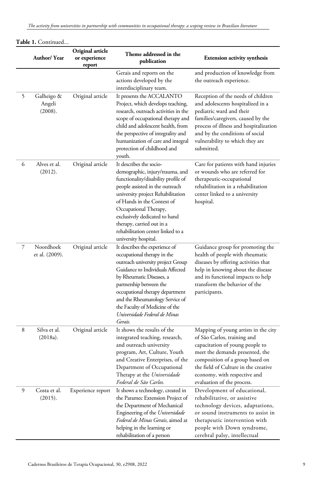|   | Author/Year                     | Original article<br>or experience<br>report | Theme addressed in the<br>publication                                                                                                                                                                                                                                                                                                                       | <b>Extension activity synthesis</b>                                                                                                                                                                                                                                                |
|---|---------------------------------|---------------------------------------------|-------------------------------------------------------------------------------------------------------------------------------------------------------------------------------------------------------------------------------------------------------------------------------------------------------------------------------------------------------------|------------------------------------------------------------------------------------------------------------------------------------------------------------------------------------------------------------------------------------------------------------------------------------|
|   |                                 |                                             | Gerais and reports on the<br>actions developed by the<br>interdisciplinary team.                                                                                                                                                                                                                                                                            | and production of knowledge from<br>the outreach experience.                                                                                                                                                                                                                       |
| 5 | Galheigo &<br>Angeli<br>(2008). | Original article                            | It presents the ACCALANTO<br>Project, which develops teaching,<br>research, outreach activities in the<br>scope of occupational therapy and<br>child and adolescent health, from<br>the perspective of integrality and<br>humanization of care and integral<br>protection of childhood and<br>youth.                                                        | Reception of the needs of children<br>and adolescents hospitalized in a<br>pediatric ward and their<br>families/caregivers, caused by the<br>process of illness and hospitalization<br>and by the conditions of social<br>vulnerability to which they are<br>submitted.            |
| 6 | Alves et al.<br>(2012).         | Original article                            | It describes the socio-<br>demographic, injury/trauma, and<br>functionality/disability profile of<br>people assisted in the outreach<br>university project Rehabilitation<br>of Hands in the Context of<br>Occupational Therapy,<br>exclusively dedicated to hand<br>therapy, carried out in a<br>rehabilitation center linked to a<br>university hospital. | Care for patients with hand injuries<br>or wounds who are referred for<br>therapeutic-occupational<br>rehabilitation in a rehabilitation<br>center linked to a university<br>hospital.                                                                                             |
| 7 | Noordhoek<br>et al. (2009).     | Original article                            | It describes the experience of<br>occupational therapy in the<br>outreach university project Group<br>Guidance to Individuals Affected<br>by Rheumatic Diseases, a<br>partnership between the<br>occupational therapy department<br>and the Rheumatology Service of<br>the Faculty of Medicine of the<br>Universidade Federal de Minas<br>Gerais.           | Guidance group for promoting the<br>health of people with rheumatic<br>diseases by offering activities that<br>help in knowing about the disease<br>and its functional impacts to help<br>transform the behavior of the<br>participants.                                           |
| 8 | Silva et al.<br>(2018a).        | Original article                            | It shows the results of the<br>integrated teaching, research,<br>and outreach university<br>program, Art, Culture, Youth<br>and Creative Enterprises, of the<br>Department of Occupational<br>Therapy at the Universidade<br>Federal de São Carlos.                                                                                                         | Mapping of young artists in the city<br>of São Carlos, training and<br>capacitation of young people to<br>meet the demands presented, the<br>composition of a group based on<br>the field of Culture in the creative<br>economy, with respective and<br>evaluation of the process. |
| 9 | Costa et al.<br>(2015).         | Experience report                           | It shows a technology, created in<br>the Paramec Extension Project of<br>the Department of Mechanical<br>Engineering of the Universidade<br>Federal de Minas Gerais, aimed at<br>helping in the learning or                                                                                                                                                 | Development of educational,<br>rehabilitative, or assistive<br>technology devices, adaptations,<br>or sound instruments to assist in<br>therapeutic intervention with<br>people with Down syndrome,                                                                                |

rehabilitation of a person

cerebral palsy, intellectual

**Table 1.** Continued...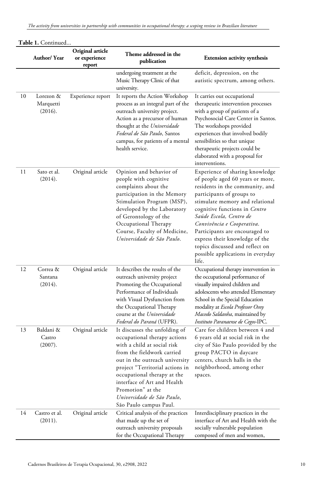|    | Author/Year                                     | Original article<br>or experience<br>report | Theme addressed in the<br>publication                                                                                                                                                                                                                                                                                                      | <b>Extension activity synthesis</b>                                                                                                                                                                                                                                                                                                                                                                                   |
|----|-------------------------------------------------|---------------------------------------------|--------------------------------------------------------------------------------------------------------------------------------------------------------------------------------------------------------------------------------------------------------------------------------------------------------------------------------------------|-----------------------------------------------------------------------------------------------------------------------------------------------------------------------------------------------------------------------------------------------------------------------------------------------------------------------------------------------------------------------------------------------------------------------|
|    |                                                 |                                             | undergoing treatment at the<br>Music Therapy Clinic of that<br>university.                                                                                                                                                                                                                                                                 | deficit, depression, on the<br>autistic spectrum, among others.                                                                                                                                                                                                                                                                                                                                                       |
| 10 | Lorezon &<br>Marquetti<br>(2016).               | Experience report                           | It reports the Action Workshop<br>process as an integral part of the<br>outreach university project.<br>Action as a precursor of human<br>thought at the Universidade<br>Federal de São Paulo, Santos<br>campus, for patients of a mental<br>health service.                                                                               | It carries out occupational<br>therapeutic intervention processes<br>with a group of patients of a<br>Psychosocial Care Center in Santos.<br>The workshops provided<br>experiences that involved bodily<br>sensibilities so that unique<br>therapeutic projects could be<br>elaborated with a proposal for<br>interventions.                                                                                          |
| 11 | Sato et al.<br>(2014).                          | Original article                            | Opinion and behavior of<br>people with cognitive<br>complaints about the<br>participation in the Memory<br>Stimulation Program (MSP),<br>developed by the Laboratory<br>of Gerontology of the<br>Occupational Therapy<br>Course, Faculty of Medicine,<br>Universidade de São Paulo.                                                        | Experience of sharing knowledge<br>of people aged 60 years or more,<br>residents in the community, and<br>participants of groups to<br>stimulate memory and relational<br>cognitive functions in Centro<br>Saúde Escola, Centro de<br>Convivência e Cooperativa.<br>Participants are encouraged to<br>express their knowledge of the<br>topics discussed and reflect on<br>possible applications in everyday<br>life. |
| 12 | Correa &<br>Santana<br>(2014).                  | Original article                            | It describes the results of the<br>outreach university project<br>Promoting the Occupational<br>Performance of Individuals<br>with Visual Dysfunction from<br>the Occupational Therapy<br>course at the Universidade<br>Federal do Paraná (UFPR).                                                                                          | Occupational therapy intervention in<br>the occupational performance of<br>visually impaired children and<br>adolescents who attended Elementary<br>School in the Special Education<br>modality at Escola Professor Osny<br>Macedo Saldanha, maintained by<br>Instituto Paranaense de Cegos-IPC.                                                                                                                      |
| 13 | Baldani &<br>$\operatorname{Castro}$<br>(2007). | Original article                            | It discusses the unfolding of<br>occupational therapy actions<br>with a child at social risk<br>from the fieldwork carried<br>out in the outreach university<br>project "Territorial actions in<br>occupational therapy at the<br>interface of Art and Health<br>Promotion" at the<br>Universidade de São Paulo,<br>São Paulo campus Paul. | Care for children between 4 and<br>6 years old at social risk in the<br>city of São Paulo provided by the<br>group PACTO in daycare<br>centers, church halls in the<br>neighborhood, among other<br>spaces.                                                                                                                                                                                                           |
| 14 | Castro et al.<br>(2011).                        | Original article                            | Critical analysis of the practices<br>that made up the set of<br>outreach university proposals<br>for the Occupational Therapy                                                                                                                                                                                                             | Interdisciplinary practices in the<br>interface of Art and Health with the<br>socially vulnerable population<br>composed of men and women,                                                                                                                                                                                                                                                                            |

**Table 1.** Continued...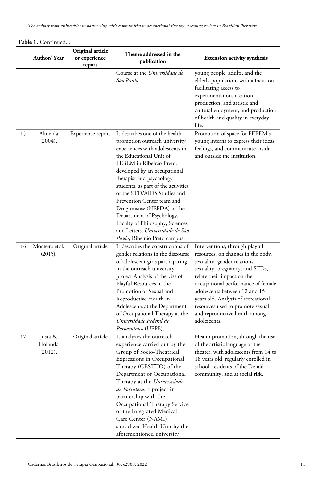|    | Author/Year                   | Original article<br>or experience<br>report | Theme addressed in the<br>publication                                                                                                                                                                                                                                                                                                                                                                                                                                                        | <b>Extension activity synthesis</b>                                                                                                                                                                                                                                                                                                                                      |
|----|-------------------------------|---------------------------------------------|----------------------------------------------------------------------------------------------------------------------------------------------------------------------------------------------------------------------------------------------------------------------------------------------------------------------------------------------------------------------------------------------------------------------------------------------------------------------------------------------|--------------------------------------------------------------------------------------------------------------------------------------------------------------------------------------------------------------------------------------------------------------------------------------------------------------------------------------------------------------------------|
|    |                               |                                             | Course at the Universidade de<br>São Paulo.                                                                                                                                                                                                                                                                                                                                                                                                                                                  | young people, adults, and the<br>elderly population, with a focus on<br>facilitating access to<br>experimentation, creation,<br>production, and artistic and<br>cultural enjoyment, and production<br>of health and quality in everyday<br>life.                                                                                                                         |
| 15 | Almeida<br>(2004).            | Experience report                           | It describes one of the health<br>promotion outreach university<br>experiences with adolescents in<br>the Educational Unit of<br>FEBEM in Ribeirão Preto,<br>developed by an occupational<br>therapist and psychology<br>students, as part of the activities<br>of the STD/AIDS Studies and<br>Prevention Center team and<br>Drug misuse (NEPDA) of the<br>Department of Psychology,<br>Faculty of Philosophy, Sciences<br>and Letters, Universidade de São<br>Paulo, Ribeirão Preto campus. | Promotion of space for FEBEM's<br>young interns to express their ideas,<br>feelings, and communicate inside<br>and outside the institution.                                                                                                                                                                                                                              |
| 16 | Monteiro et al.<br>(2015).    | Original article                            | It describes the constructions of<br>gender relations in the discourse<br>of adolescent girls participating<br>in the outreach university<br>project Analysis of the Use of<br>Playful Resources in the<br>Promotion of Sexual and<br>Reproductive Health in<br>Adolescents at the Department<br>of Occupational Therapy at the<br>Universidade Federal de<br>Pernambuco (UFPE).                                                                                                             | Interventions, through playful<br>resources, on changes in the body,<br>sexuality, gender relations,<br>sexuality, pregnancy, and STDs,<br>relate their impact on the<br>occupational performance of female<br>adolescents between 12 and 15<br>years old. Analysis of recreational<br>resources used to promote sexual<br>and reproductive health among<br>adolescents. |
| 17 | Justa &<br>Holanda<br>(2012). | Original article                            | It analyzes the outreach<br>experience carried out by the<br>Group of Socio-Theatrical<br>Expressions in Occupational<br>Therapy (GESTTO) of the<br>Department of Occupational<br>Therapy at the Universidade<br>de Fortaleza, a project in<br>partnership with the<br>Occupational Therapy Service<br>of the Integrated Medical<br>Care Center (NAMI),<br>subsidized Health Unit by the<br>aforementioned university                                                                        | Health promotion, through the use<br>of the artistic language of the<br>theater, with adolescents from 14 to<br>18 years old, regularly enrolled in<br>school, residents of the Dendê<br>community, and at social risk.                                                                                                                                                  |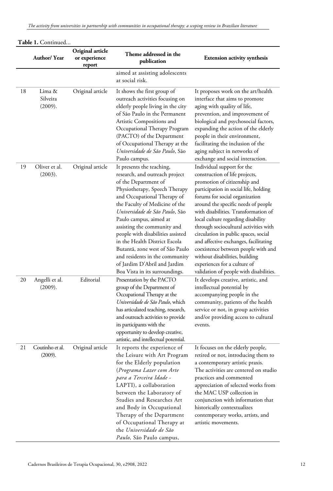|    | Author/Year                   | Original article<br>or experience<br>report | Theme addressed in the<br>publication                                                                                                                                                                                                                                                                                                                                                                                                                                                         | <b>Extension activity synthesis</b>                                                                                                                                                                                                                                                                                                                                                                                                                                                                                                                                        |
|----|-------------------------------|---------------------------------------------|-----------------------------------------------------------------------------------------------------------------------------------------------------------------------------------------------------------------------------------------------------------------------------------------------------------------------------------------------------------------------------------------------------------------------------------------------------------------------------------------------|----------------------------------------------------------------------------------------------------------------------------------------------------------------------------------------------------------------------------------------------------------------------------------------------------------------------------------------------------------------------------------------------------------------------------------------------------------------------------------------------------------------------------------------------------------------------------|
|    |                               |                                             | aimed at assisting adolescents<br>at social risk.                                                                                                                                                                                                                                                                                                                                                                                                                                             |                                                                                                                                                                                                                                                                                                                                                                                                                                                                                                                                                                            |
| 18 | Lima &<br>Silveira<br>(2009). | Original article                            | It shows the first group of<br>outreach activities focusing on<br>elderly people living in the city<br>of São Paulo in the Permanent<br>Artistic Compositions and<br>Occupational Therapy Program<br>(PACTO) of the Department<br>of Occupational Therapy at the<br>Universidade de São Paulo, São<br>Paulo campus.                                                                                                                                                                           | It proposes work on the art/health<br>interface that aims to promote<br>aging with quality of life,<br>prevention, and improvement of<br>biological and psychosocial factors,<br>expanding the action of the elderly<br>people in their environment,<br>facilitating the inclusion of the<br>aging subject in networks of<br>exchange and social interaction.                                                                                                                                                                                                              |
| 19 | Oliver et al.<br>(2003).      | Original article                            | It presents the teaching,<br>research, and outreach project<br>of the Department of<br>Physiotherapy, Speech Therapy<br>and Occupational Therapy of<br>the Faculty of Medicine of the<br>Universidade de São Paulo, São<br>Paulo campus, aimed at<br>assisting the community and<br>people with disabilities assisted<br>in the Health District Escola<br>Butantá, zone west of São Paulo<br>and residents in the community<br>of Jardim D'Abril and Jardim<br>Boa Vista in its surroundings. | Individual support for the<br>construction of life projects,<br>promotion of citizenship and<br>participation in social life, holding<br>forums for social organization<br>around the specific needs of people<br>with disabilities. Transformation of<br>local culture regarding disability<br>through sociocultural activities with<br>circulation in public spaces, social<br>and affective exchanges, facilitating<br>coexistence between people with and<br>without disabilities, building<br>experiences for a culture of<br>validation of people with disabilities. |
| 20 | Angelli et al.<br>(2009).     | Editorial                                   | Presentation by the PACTO<br>group of the Department of<br>Occupational Therapy at the<br>Universidade de São Paulo, which<br>has articulated teaching, research,<br>and outreach activities to provide<br>its participants with the<br>opportunity to develop creative,<br>artistic, and intellectual potential.                                                                                                                                                                             | It develops creative, artistic, and<br>intellectual potential by<br>accompanying people in the<br>community, patients of the health<br>service or not, in group activities<br>and/or providing access to cultural<br>events.                                                                                                                                                                                                                                                                                                                                               |
| 21 | Coutinho et al.<br>(2009).    | Original article                            | It reports the experience of<br>the Leisure with Art Program<br>for the Elderly population<br>(Programa Lazer com Arte<br>para a Terceira Idade -<br>LAPTI), a collaboration<br>between the Laboratory of<br>Studies and Researches Art<br>and Body in Occupational<br>Therapy of the Department<br>of Occupational Therapy at<br>the Universidade de São<br>Paulo, São Paulo campus,                                                                                                         | It focuses on the elderly people,<br>retired or not, introducing them to<br>a contemporary artistic praxis.<br>The activities are centered on studio<br>practices and commented<br>appreciation of selected works from<br>the MAC USP collection in<br>conjunction with information that<br>historically contextualizes<br>contemporary works, artists, and<br>artistic movements.                                                                                                                                                                                         |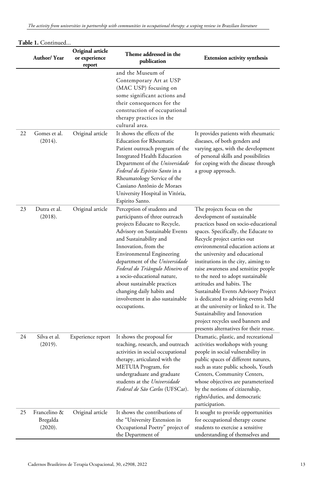|    | Author/Year                         | Original article<br>or experience<br>report | Theme addressed in the<br>publication                                                                                                                                                                                                                                                                                                                                                                                                   | <b>Extension activity synthesis</b>                                                                                                                                                                                                                                                                                                                                                                                                                                                                                                                                                                                                     |
|----|-------------------------------------|---------------------------------------------|-----------------------------------------------------------------------------------------------------------------------------------------------------------------------------------------------------------------------------------------------------------------------------------------------------------------------------------------------------------------------------------------------------------------------------------------|-----------------------------------------------------------------------------------------------------------------------------------------------------------------------------------------------------------------------------------------------------------------------------------------------------------------------------------------------------------------------------------------------------------------------------------------------------------------------------------------------------------------------------------------------------------------------------------------------------------------------------------------|
|    |                                     |                                             | and the Museum of<br>Contemporary Art at USP<br>(MAC USP) focusing on<br>some significant actions and<br>their consequences for the<br>construction of occupational<br>therapy practices in the<br>cultural area.                                                                                                                                                                                                                       |                                                                                                                                                                                                                                                                                                                                                                                                                                                                                                                                                                                                                                         |
| 22 | Gomes et al.<br>(2014).             | Original article                            | It shows the effects of the<br><b>Education for Rheumatic</b><br>Patient outreach program of the<br>Integrated Health Education<br>Department of the Universidade<br>Federal do Espírito Santo in a<br>Rheumatology Service of the<br>Cassiano Antônio de Moraes<br>University Hospital in Vitória,<br>Espirito Santo.                                                                                                                  | It provides patients with rheumatic<br>diseases, of both genders and<br>varying ages, with the development<br>of personal skills and possibilities<br>for coping with the disease through<br>a group approach.                                                                                                                                                                                                                                                                                                                                                                                                                          |
| 23 | Dutra et al.<br>(2018).             | Original article                            | Perception of students and<br>participants of three outreach<br>projects Educate to Recycle,<br>Advisory on Sustainable Events<br>and Sustainability and<br>Innovation, from the<br><b>Environmental Engineering</b><br>department of the Universidade<br>Federal do Triângulo Mineiro of<br>a socio-educational nature,<br>about sustainable practices<br>changing daily habits and<br>involvement in also sustainable<br>occupations. | The projects focus on the<br>development of sustainable<br>practices based on socio-educational<br>spaces. Specifically, the Educate to<br>Recycle project carries out<br>environmental education actions at<br>the university and educational<br>institutions in the city, aiming to<br>raise awareness and sensitize people<br>to the need to adopt sustainable<br>attitudes and habits. The<br>Sustainable Events Advisory Project<br>is dedicated to advising events held<br>at the university or linked to it. The<br>Sustainability and Innovation<br>project recycles used banners and<br>presents alternatives for their reuse. |
| 24 | Silva et al.<br>(2019).             | Experience report                           | It shows the proposal for<br>teaching, research, and outreach<br>activities in social occupational<br>therapy, articulated with the<br>METUIA Program, for<br>undergraduate and graduate<br>students at the Universidade<br>Federal de São Carlos (UFSCar).                                                                                                                                                                             | Dramatic, plastic, and recreational<br>activities workshops with young<br>people in social vulnerability in<br>public spaces of different natures,<br>such as state public schools, Youth<br>Centers, Community Centers,<br>whose objectives are parameterized<br>by the notions of citizenship,<br>rights/duties, and democratic<br>participation.                                                                                                                                                                                                                                                                                     |
| 25 | Francelino &<br>Bregalda<br>(2020). | Original article                            | It shows the contributions of<br>the "University Extension in<br>Occupational Poetry" project of<br>the Department of                                                                                                                                                                                                                                                                                                                   | It sought to provide opportunities<br>for occupational therapy course<br>students to exercise a sensitive<br>understanding of themselves and                                                                                                                                                                                                                                                                                                                                                                                                                                                                                            |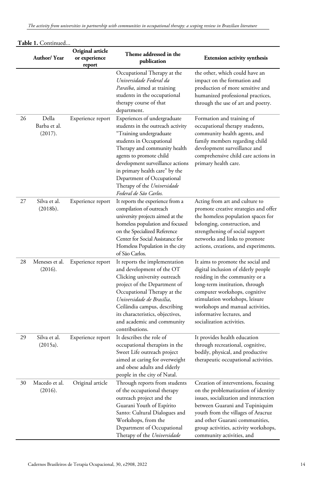|    | <b>Author/ Year</b>              | Original article<br>or experience<br>report | Theme addressed in the<br>publication                                                                                                                                                                                                                                                                                                            | <b>Extension activity synthesis</b>                                                                                                                                                                                                                                                                           |
|----|----------------------------------|---------------------------------------------|--------------------------------------------------------------------------------------------------------------------------------------------------------------------------------------------------------------------------------------------------------------------------------------------------------------------------------------------------|---------------------------------------------------------------------------------------------------------------------------------------------------------------------------------------------------------------------------------------------------------------------------------------------------------------|
|    |                                  |                                             | Occupational Therapy at the<br>Universidade Federal da<br>Paraíba, aimed at training<br>students in the occupational<br>therapy course of that<br>department.                                                                                                                                                                                    | the other, which could have an<br>impact on the formation and<br>production of more sensitive and<br>humanized professional practices,<br>through the use of art and poetry.                                                                                                                                  |
| 26 | Della<br>Barba et al.<br>(2017). | Experience report                           | Experiences of undergraduate<br>students in the outreach activity<br>"Training undergraduate<br>students in Occupational<br>Therapy and community health<br>agents to promote child<br>development surveillance actions<br>in primary health care" by the<br>Department of Occupational<br>Therapy of the Universidade<br>Federal de São Carlos. | Formation and training of<br>occupational therapy students,<br>community health agents, and<br>family members regarding child<br>development surveillance and<br>comprehensive child care actions in<br>primary health care.                                                                                  |
| 27 | Silva et al.<br>(2018b).         | Experience report                           | It reports the experience from a<br>compilation of outreach<br>university projects aimed at the<br>homeless population and focused<br>on the Specialized Reference<br>Center for Social Assistance for<br>Homeless Population in the city<br>of São Carlos.                                                                                      | Acting from art and culture to<br>promote creative strategies and offer<br>the homeless population spaces for<br>belonging, construction, and<br>strengthening of social support<br>networks and links to promote<br>actions, creations, and experiments.                                                     |
| 28 | Meneses et al.<br>(2016).        | Experience report                           | It reports the implementation<br>and development of the OT<br>Clicking university outreach<br>project of the Department of<br>Occupational Therapy at the<br>Universidade de Brasília,<br>Ceilândia campus, describing<br>its characteristics, objectives,<br>and academic and community<br>contributions.                                       | It aims to promote the social and<br>digital inclusion of elderly people<br>residing in the community or a<br>long-term institution, through<br>computer workshops, cognitive<br>stimulation workshops, leisure<br>workshops and manual activities,<br>informative lectures, and<br>socialization activities. |
| 29 | Silva et al.<br>(2015a).         | Experience report                           | It describes the role of<br>occupational therapists in the<br>Sweet Life outreach project<br>aimed at caring for overweight<br>and obese adults and elderly<br>people in the city of Natal.                                                                                                                                                      | It provides health education<br>through recreational, cognitive,<br>bodily, physical, and productive<br>therapeutic occupational activities.                                                                                                                                                                  |
| 30 | Macedo et al.<br>(2016).         | Original article                            | Through reports from students<br>of the occupational therapy<br>outreach project and the<br>Guarani Youth of Espírito<br>Santo: Cultural Dialogues and<br>Workshops, from the<br>Department of Occupational<br>Therapy of the Universidade                                                                                                       | Creation of interventions, focusing<br>on the problematization of identity<br>issues, socialization and interaction<br>between Guarani and Tupiniquim<br>youth from the villages of Aracruz<br>and other Guarani communities,<br>group activities, activity workshops,<br>community activities, and           |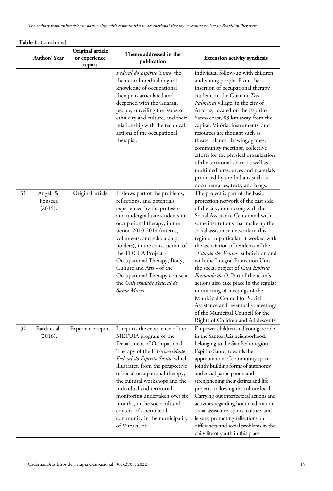|    | Author/Year                    | Original article<br>or experience<br>report | Theme addressed in the<br>publication                                                                                                                                                                                                                                                                                                                                                                                                                 | <b>Extension activity synthesis</b>                                                                                                                                                                                                                                                                                                                                                                                                                                                                                                                                                                                                                                                                          |
|----|--------------------------------|---------------------------------------------|-------------------------------------------------------------------------------------------------------------------------------------------------------------------------------------------------------------------------------------------------------------------------------------------------------------------------------------------------------------------------------------------------------------------------------------------------------|--------------------------------------------------------------------------------------------------------------------------------------------------------------------------------------------------------------------------------------------------------------------------------------------------------------------------------------------------------------------------------------------------------------------------------------------------------------------------------------------------------------------------------------------------------------------------------------------------------------------------------------------------------------------------------------------------------------|
|    |                                |                                             | Federal do Espirito Santo, the<br>theoretical-methodological<br>knowledge of occupational<br>therapy is articulated and<br>deepened with the Guarani<br>people, unveiling the issues of<br>ethnicity and culture, and their<br>relationship with the technical<br>actions of the occupational<br>therapist.                                                                                                                                           | individual follow-up with children<br>and young people. From the<br>insertion of occupational therapy<br>students in the Guarani Três<br>Palmeiras village, in the city of<br>Aracruz, located on the Espírito<br>Santo coast, 83 km away from the<br>capital, Vitória, instruments, and<br>resources are thought such as<br>theater, dance, drawing, games,<br>community meetings, collective<br>efforts for the physical organization<br>of the territorial space, as well as<br>multimedia resources and materials<br>produced by the Indians such as<br>documentaries, texts, and blogs.                                                                                                                 |
| 31 | Angeli &<br>Fonseca<br>(2015). | Original article                            | It shows part of the problems,<br>reflections, and potentials<br>experienced by the professor<br>and undergraduate students in<br>occupational therapy, in the<br>period 2010-2014 (interns,<br>volunteers, and scholarship<br>holders), in the construction of<br>the TOCCA Project -<br>Occupational Therapy, Body,<br>Culture and Arts - of the<br>Occupational Therapy course at<br>the Universidade Federal de<br>Santa Maria.                   | The project is part of the basic<br>protection network of the east side<br>of the city, interacting with the<br>Social Assistance Center and with<br>some institutions that make up the<br>social assistance network in this<br>region. In particular, it worked with<br>the association of residents of the<br>"Estação dos Ventos" subdivision and<br>with the Integral Protection Unit,<br>the social project of Casa Espírita<br><i>Fernando do O</i> . Part of the team's<br>actions also take place in the regular<br>monitoring of meetings of the<br>Municipal Council for Social<br>Assistance and, eventually, meetings<br>of the Municipal Council for the<br>Rights of Children and Adolescents. |
| 32 | Bardi et al.<br>(2016).        | Experience report                           | It reports the experience of the<br>METUIA program of the<br>Department of Occupational<br>Therapy of the F Universidade<br>Federal do Espírito Santo, which<br>illustrates, from the perspective<br>of social occupational therapy,<br>the cultural workshops and the<br>individual and territorial<br>monitoring undertaken over six<br>months, in the sociocultural<br>context of a peripheral<br>community in the municipality<br>of Vitória, ES. | Empower children and young people<br>in the Santos Reis neighborhood,<br>belonging to the São Pedro region,<br>Espirito Santo, towards the<br>appropriation of community space,<br>jointly building forms of autonomy<br>and social participation and<br>strengthening their desires and life<br>projects, following the culture local.<br>Carrying out intersectoral actions and<br>activities regarding health, education,<br>social assistance, sports, culture, and<br>leisure, promoting reflections on<br>differences and social problems in the                                                                                                                                                       |

# **Table 1.** Continued...

daily life of youth in this place.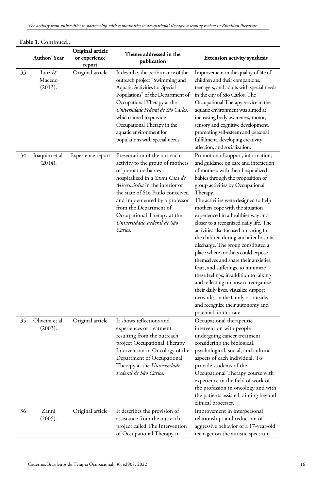|    | Author/Year                 | Original article<br>or experience<br>report | Theme addressed in the<br>publication                                                                                                                                                                                                                                                                                                     | <b>Extension activity synthesis</b>                                                                                                                                                                                                                                                                                                                                                                                                                                                                                                                                                                                                                                                                                                                                                                                                          |
|----|-----------------------------|---------------------------------------------|-------------------------------------------------------------------------------------------------------------------------------------------------------------------------------------------------------------------------------------------------------------------------------------------------------------------------------------------|----------------------------------------------------------------------------------------------------------------------------------------------------------------------------------------------------------------------------------------------------------------------------------------------------------------------------------------------------------------------------------------------------------------------------------------------------------------------------------------------------------------------------------------------------------------------------------------------------------------------------------------------------------------------------------------------------------------------------------------------------------------------------------------------------------------------------------------------|
| 33 | Luiz &<br>Macedo<br>(2013). | Original article                            | It describes the performance of the<br>outreach project "Swimming and<br>Aquatic Activities for Special<br>Populations" of the Department of<br>Occupational Therapy at the<br>Universidade Federal de São Carlos,<br>which aimed to provide<br>Occupational Therapy in the<br>aquatic environment for<br>populations with special needs. | Improvement in the quality of life of<br>children and their companions,<br>teenagers, and adults with special needs<br>in the city of São Carlos. The<br>Occupational Therapy service in the<br>aquatic environment was aimed at<br>increasing body awareness, motor,<br>sensory and cognitive development,<br>promoting self-esteem and personal<br>fulfillment, developing creativity,<br>affection, and socialization.                                                                                                                                                                                                                                                                                                                                                                                                                    |
| 34 | Joaquim et al.<br>(2014).   | Experience report                           | Presentation of the outreach<br>activity to the group of mothers<br>of premature babies<br>hospitalized in a Santa Casa de<br>Misericórdia in the interior of<br>the state of São Paulo conceived<br>and implemented by a professor<br>from the Department of<br>Occupational Therapy at the<br>Universidade Federal de São<br>Carlos.    | Promotion of support, information,<br>and guidance on care and interaction<br>of mothers with their hospitalized<br>babies through the proposition of<br>group activities by Occupational<br>Therapy.<br>The activities were designed to help<br>mothers cope with the situation<br>experienced in a healthier way and<br>closer to a recognized daily life. The<br>activities also focused on caring for<br>the children during and after hospital<br>discharge. The group constituted a<br>place where mothers could expose<br>themselves and share their anxieties,<br>fears, and sufferings, to minimize<br>these feelings, in addition to talking<br>and reflecting on how to reorganize<br>their daily lives, visualize support<br>networks, in the family or outside,<br>and recognize their autonomy and<br>potential for this care. |
| 35 | Oliveira et al.<br>(2003).  | Original article                            | It shows reflections and<br>experiences of treatment<br>resulting from the outreach<br>project Occupational Therapy<br>Intervention in Oncology of the<br>Department of Occupational<br>Therapy at the Universidade<br>Federal de São Carlos.                                                                                             | Occupational therapeutic<br>intervention with people<br>undergoing cancer treatment<br>considering the biological,<br>psychological, social, and cultural<br>aspects of each individual. To<br>provide students of the<br>Occupational Therapy course with<br>experience in the field of work of<br>the profession in oncology and with<br>the patients assisted, aiming beyond<br>clinical processes.                                                                                                                                                                                                                                                                                                                                                                                                                                       |
| 36 | Zanni<br>(2005).            | Original article                            | It describes the provision of<br>assistance from the outreach<br>project called The Intervention<br>of Occupational Therapy in                                                                                                                                                                                                            | Improvement in interpersonal<br>relationships and reduction of<br>aggressive behavior of a 17-year-old<br>teenager on the autistic spectrum                                                                                                                                                                                                                                                                                                                                                                                                                                                                                                                                                                                                                                                                                                  |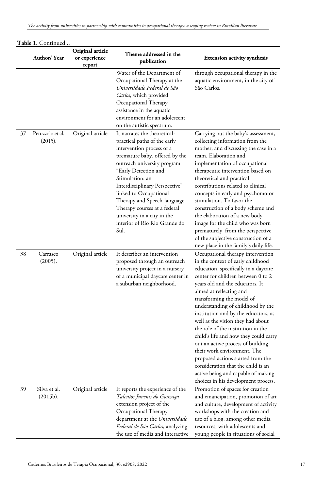|    | Author/ Year                | Original article<br>or experience<br>report | Theme addressed in the<br>publication                                                                                                                                                                                                                                                                                                                                                                    | <b>Extension activity synthesis</b>                                                                                                                                                                                                                                                                                                                                                                                                                                                                                                                                                                                                                                          |
|----|-----------------------------|---------------------------------------------|----------------------------------------------------------------------------------------------------------------------------------------------------------------------------------------------------------------------------------------------------------------------------------------------------------------------------------------------------------------------------------------------------------|------------------------------------------------------------------------------------------------------------------------------------------------------------------------------------------------------------------------------------------------------------------------------------------------------------------------------------------------------------------------------------------------------------------------------------------------------------------------------------------------------------------------------------------------------------------------------------------------------------------------------------------------------------------------------|
|    |                             |                                             | Water of the Department of<br>Occupational Therapy at the<br>Universidade Federal de São<br>Carlos, which provided<br>Occupational Therapy<br>assistance in the aquatic<br>environment for an adolescent<br>on the autistic spectrum.                                                                                                                                                                    | through occupational therapy in the<br>aquatic environment, in the city of<br>São Carlos.                                                                                                                                                                                                                                                                                                                                                                                                                                                                                                                                                                                    |
| 37 | Peruzzolo et al.<br>(2015). | Original article                            | It narrates the theoretical-<br>practical paths of the early<br>intervention process of a<br>premature baby, offered by the<br>outreach university program<br>"Early Detection and<br>Stimulation: an<br>Interdisciplinary Perspective"<br>linked to Occupational<br>Therapy and Speech-language<br>Therapy courses at a federal<br>university in a city in the<br>interior of Rio Rio Grande do<br>Sul. | Carrying out the baby's assessment,<br>collecting information from the<br>mother, and discussing the case in a<br>team. Elaboration and<br>implementation of occupational<br>therapeutic intervention based on<br>theoretical and practical<br>contributions related to clinical<br>concepts in early and psychomotor<br>stimulation. To favor the<br>construction of a body scheme and<br>the elaboration of a new body<br>image for the child who was born<br>prematurely, from the perspective<br>of the subjective construction of a<br>new place in the family's daily life.                                                                                            |
| 38 | Carrasco<br>(2005).         | Original article                            | It describes an intervention<br>proposed through an outreach<br>university project in a nursery<br>of a municipal daycare center in<br>a suburban neighborhood.                                                                                                                                                                                                                                          | Occupational therapy intervention<br>in the context of early childhood<br>education, specifically in a daycare<br>center for children between 0 to 2<br>years old and the educators. It<br>aimed at reflecting and<br>transforming the model of<br>understanding of childhood by the<br>institution and by the educators, as<br>well as the vision they had about<br>the role of the institution in the<br>child's life and how they could carry<br>out an active process of building<br>their work environment. The<br>proposed actions started from the<br>consideration that the child is an<br>active being and capable of making<br>choices in his development process. |
| 39 | Silva et al.<br>(2015b).    | Original article                            | It reports the experience of the<br>Talentos Juvenis do Gonzaga<br>extension project of the<br>Occupational Therapy<br>department at the Universidade<br>Federal de São Carlos, analyzing<br>the use of media and interactive                                                                                                                                                                            | Promotion of spaces for creation<br>and emancipation, promotion of art<br>and culture, development of activity<br>workshops with the creation and<br>use of a blog, among other media<br>resources, with adolescents and<br>young people in situations of social                                                                                                                                                                                                                                                                                                                                                                                                             |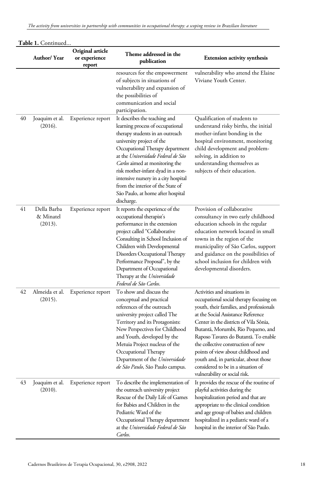|    | Author/Year                         | Original article<br>or experience<br>report | Theme addressed in the<br>publication                                                                                                                                                                                                                                                                                                                                                                                    | <b>Extension activity synthesis</b>                                                                                                                                                                                                                                                                                                                                                                                                                                           |
|----|-------------------------------------|---------------------------------------------|--------------------------------------------------------------------------------------------------------------------------------------------------------------------------------------------------------------------------------------------------------------------------------------------------------------------------------------------------------------------------------------------------------------------------|-------------------------------------------------------------------------------------------------------------------------------------------------------------------------------------------------------------------------------------------------------------------------------------------------------------------------------------------------------------------------------------------------------------------------------------------------------------------------------|
|    |                                     |                                             | resources for the empowerment<br>of subjects in situations of<br>vulnerability and expansion of<br>the possibilities of<br>communication and social<br>participation.                                                                                                                                                                                                                                                    | vulnerability who attend the Elaine<br>Viviane Youth Center.                                                                                                                                                                                                                                                                                                                                                                                                                  |
| 40 | Joaquim et al.<br>(2016).           | Experience report                           | It describes the teaching and<br>learning process of occupational<br>therapy students in an outreach<br>university project of the<br>Occupational Therapy department<br>at the Universidade Federal de São<br><i>Carlos</i> aimed at monitoring the<br>risk mother-infant dyad in a non-<br>intensive nursery in a city hospital<br>from the interior of the State of<br>São Paulo, at home after hospital<br>discharge. | Qualification of students to<br>understand risky births, the initial<br>mother-infant bonding in the<br>hospital environment, monitoring<br>child development and problem-<br>solving, in addition to<br>understanding themselves as<br>subjects of their education.                                                                                                                                                                                                          |
| 41 | Della Barba<br>& Minatel<br>(2013). | Experience report                           | It reports the experience of the<br>occupational therapist's<br>performance in the extension<br>project called "Collaborative<br>Consulting in School Inclusion of<br>Children with Developmental<br>Disorders Occupational Therapy<br>Performance Proposal", by the<br>Department of Occupational<br>Therapy at the Universidade<br>Federal de São Carlos.                                                              | Provision of collaborative<br>consultancy in two early childhood<br>education schools in the regular<br>education network located in small<br>towns in the region of the<br>municipality of São Carlos, support<br>and guidance on the possibilities of<br>school inclusion for children with<br>developmental disorders.                                                                                                                                                     |
| 42 | Almeida et al.<br>(2015).           | Experience report                           | To show and discuss the<br>conceptual and practical<br>references of the outreach<br>university project called The<br>Territory and its Protagonists:<br>New Perspectives for Childhood<br>and Youth, developed by the<br>Metuia Project nucleus of the<br>Occupational Therapy<br>Department of the Universidade<br>de São Paulo, São Paulo campus.                                                                     | Activities and situations in<br>occupational social therapy focusing on<br>youth, their families, and professionals<br>at the Social Assistance Reference<br>Center in the districts of Vila Sônia,<br>Butantá, Morumbi, Rio Pequeno, and<br>Raposo Tavares do Butantã. To enable<br>the collective construction of new<br>points of view about childhood and<br>youth and, in particular, about those<br>considered to be in a situation of<br>vulnerability or social risk. |
| 43 | Joaquim et al.<br>(2010).           | Experience report                           | To describe the implementation of<br>the outreach university project<br>Rescue of the Daily Life of Games<br>for Babies and Children in the<br>Pediatric Ward of the<br>Occupational Therapy department<br>at the Universidade Federal de São<br>Carlos.                                                                                                                                                                 | It provides the rescue of the routine of<br>playful activities during the<br>hospitalization period and that are<br>appropriate to the clinical condition<br>and age group of babies and children<br>hospitalized in a pediatric ward of a<br>hospital in the interior of São Paulo.                                                                                                                                                                                          |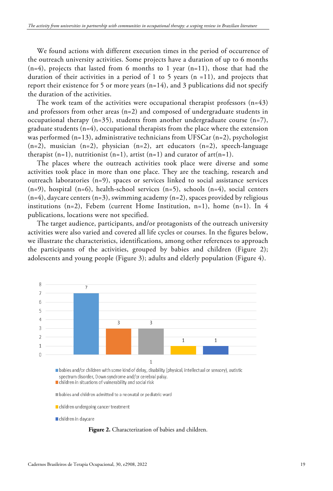We found actions with different execution times in the period of occurrence of the outreach university activities. Some projects have a duration of up to 6 months  $(n=4)$ , projects that lasted from 6 months to 1 year  $(n=11)$ , those that had the duration of their activities in a period of 1 to 5 years  $(n = 11)$ , and projects that report their existence for 5 or more years  $(n=14)$ , and 3 publications did not specify the duration of the activities.

The work team of the activities were occupational therapist professors  $(n=43)$ and professors from other areas (n=2) and composed of undergraduate students in occupational therapy (n=35), students from another undergraduate course (n=7), graduate students (n=4), occupational therapists from the place where the extension was performed (n=13), administrative technicians from UFSCar (n=2), psychologist  $(n=2)$ , musician  $(n=2)$ , physician  $(n=2)$ , art educators  $(n=2)$ , speech-language therapist  $(n=1)$ , nutritionist  $(n=1)$ , artist  $(n=1)$  and curator of art $(n=1)$ .

The places where the outreach activities took place were diverse and some activities took place in more than one place. They are the teaching, research and outreach laboratories  $(n=9)$ , spaces or services linked to social assistance services  $(n=9)$ , hospital  $(n=6)$ , health-school services  $(n=5)$ , schools  $(n=4)$ , social centers  $(n=4)$ , daycare centers  $(n=3)$ , swimming academy  $(n=2)$ , spaces provided by religious institutions  $(n=2)$ , Febem (current Home Institution, n=1), home  $(n=1)$ . In 4 publications, locations were not specified.

The target audience, participants, and/or protagonists of the outreach university activities were also varied and covered all life cycles or courses. In the figures below, we illustrate the characteristics, identifications, among other references to approach the participants of the activities, grouped by babies and children (Figure 2); adolescents and young people (Figure 3); adults and elderly population (Figure 4).



**Figure 2.** Characterization of babies and children.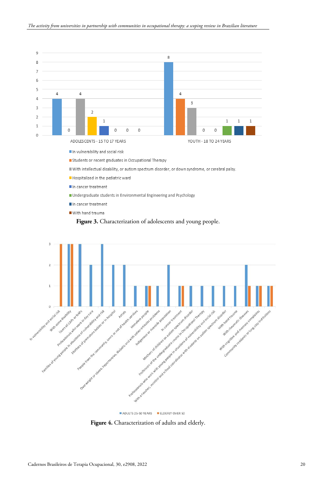

- In vulnerability and social risk
- Students or recent graduates in Occupational Therapy
- With intellectual disability, or autism spectrum disorder, or down syndrome, or cerebral palsy.
- Hospitalized in the pediatric ward
- In cancer treatment
- Undergraduate students in Environmental Engineering and Psychology
- In cancer treatment
- With hand trauma





ADULTS 25-50 YEARS ELDERLY OVER 50

**Figure 4.** Characterization of adults and elderly.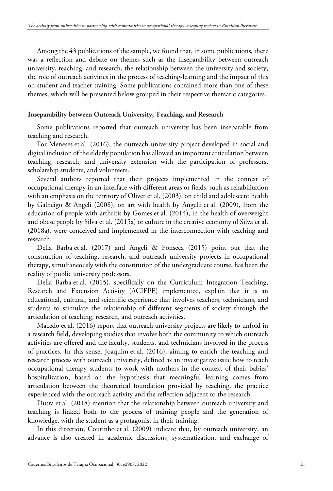Among the 43 publications of the sample, we found that, in some publications, there was a reflection and debate on themes such as the inseparability between outreach university, teaching, and research, the relationship between the university and society, the role of outreach activities in the process of teaching-learning and the impact of this on student and teacher training. Some publications contained more than one of these themes, which will be presented below grouped in their respective thematic categories.

## **Inseparability between Outreach University, Teaching, and Research**

Some publications reported that outreach university has been inseparable from teaching and research.

For Meneses et al. (2016), the outreach university project developed in social and digital inclusion of the elderly population has allowed an important articulation between teaching, research, and university extension with the participation of professors, scholarship students, and volunteers.

Several authors reported that their projects implemented in the context of occupational therapy in an interface with different areas or fields, such as rehabilitation with an emphasis on the territory of Oliver et al. (2003), on child and adolescent health by Galheigo & Angeli (2008), on art with health by Angelli et al. (2009), from the education of people with arthritis by Gomes et al. (2014), in the health of overweight and obese people by Silva et al. (2015a) or culture in the creative economy of Silva et al. (2018a), were conceived and implemented in the interconnection with teaching and research.

Della Barba et al. (2017) and Angeli & Fonseca (2015) point out that the construction of teaching, research, and outreach university projects in occupational therapy, simultaneously with the constitution of the undergraduate course, has been the reality of public university professors.

Della Barba et al. (2015), specifically on the Curriculum Integration Teaching, Research and Extension Activity (ACIEPE) implemented, explain that it is an educational, cultural, and scientific experience that involves teachers, technicians, and students to stimulate the relationship of different segments of society through the articulation of teaching, research, and outreach activities.

Macedo et al. (2016) report that outreach university projects are likely to unfold in a research field, developing studies that involve both the community to which outreach activities are offered and the faculty, students, and technicians involved in the process of practices. In this sense, Joaquim et al. (2016), aiming to enrich the teaching and research process with outreach university, defined as an investigative issue how to teach occupational therapy students to work with mothers in the context of their babies' hospitalization, based on the hypothesis that meaningful learning comes from articulation between the theoretical foundation provided by teaching, the practice experienced with the outreach activity and the reflection adjacent to the research.

Dutra et al. (2018) mention that the relationship between outreach university and teaching is linked both to the process of training people and the generation of knowledge, with the student as a protagonist in their training.

In this direction, Coutinho et al. (2009) indicate that, by outreach university, an advance is also created in academic discussions, systematization, and exchange of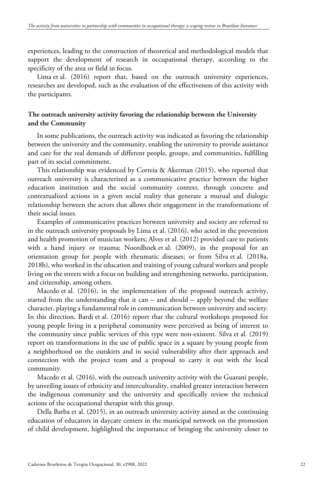experiences, leading to the construction of theoretical and methodological models that support the development of research in occupational therapy, according to the specificity of the area or field in focus.

Lima et al. (2016) report that, based on the outreach university experiences, researches are developed, such as the evaluation of the effectiveness of this activity with the participants.

# **The outreach university activity favoring the relationship between the University and the Community**

In some publications, the outreach activity was indicated as favoring the relationship between the university and the community, enabling the university to provide assistance and care for the real demands of different people, groups, and communities, fulfilling part of its social commitment.

This relationship was evidenced by Correia & Akerman (2015), who reported that outreach university is characterized as a communicative practice between the higher education institution and the social community context, through concrete and contextualized actions in a given social reality that generate a mutual and dialogic relationship between the actors that allows their engagement in the transformations of their social issues.

Examples of communicative practices between university and society are referred to in the outreach university proposals by Lima et al. (2016), who acted in the prevention and health promotion of musician workers; Alves et al. (2012) provided care to patients with a hand injury or trauma; Noordhoek et al. (2009), in the proposal for an orientation group for people with rheumatic diseases; or from Silva et al. (2018a, 2018b), who worked in the education and training of young cultural workers and people living on the streets with a focus on building and strengthening networks, participation, and citizenship, among others.

Macedo et al. (2016), in the implementation of the proposed outreach activity, started from the understanding that it can – and should – apply beyond the welfare character, playing a fundamental role in communication between university and society. In this direction, Bardi et al. (2016) report that the cultural workshops proposed for young people living in a peripheral community were perceived as being of interest to the community since public services of this type were non-existent. Silva et al. (2019) report on transformations in the use of public space in a square by young people from a neighborhood on the outskirts and in social vulnerability after their approach and connection with the project team and a proposal to carry it out with the local community.

Macedo et al. (2016), with the outreach university activity with the Guarani people, by unveiling issues of ethnicity and interculturality, enabled greater interaction between the indigenous community and the university and specifically review the technical actions of the occupational therapist with this group.

Della Barba et al. (2015), in an outreach university activity aimed at the continuing education of educators in daycare centers in the municipal network on the promotion of child development, highlighted the importance of bringing the university closer to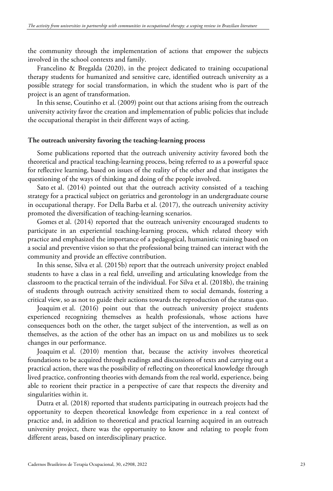the community through the implementation of actions that empower the subjects involved in the school contexts and family.

Francelino & Bregalda (2020), in the project dedicated to training occupational therapy students for humanized and sensitive care, identified outreach university as a possible strategy for social transformation, in which the student who is part of the project is an agent of transformation.

In this sense, Coutinho et al. (2009) point out that actions arising from the outreach university activity favor the creation and implementation of public policies that include the occupational therapist in their different ways of acting.

#### **The outreach university favoring the teaching-learning process**

Some publications reported that the outreach university activity favored both the theoretical and practical teaching-learning process, being referred to as a powerful space for reflective learning, based on issues of the reality of the other and that instigates the questioning of the ways of thinking and doing of the people involved.

Sato et al. (2014) pointed out that the outreach activity consisted of a teaching strategy for a practical subject on geriatrics and gerontology in an undergraduate course in occupational therapy. For Della Barba et al. (2017), the outreach university activity promoted the diversification of teaching-learning scenarios.

Gomes et al. (2014) reported that the outreach university encouraged students to participate in an experiential teaching-learning process, which related theory with practice and emphasized the importance of a pedagogical, humanistic training based on a social and preventive vision so that the professional being trained can interact with the community and provide an effective contribution.

In this sense, Silva et al. (2015b) report that the outreach university project enabled students to have a class in a real field, unveiling and articulating knowledge from the classroom to the practical terrain of the individual. For Silva et al. (2018b), the training of students through outreach activity sensitized them to social demands, fostering a critical view, so as not to guide their actions towards the reproduction of the status quo.

Joaquim et al. (2016) point out that the outreach university project students experienced recognizing themselves as health professionals, whose actions have consequences both on the other, the target subject of the intervention, as well as on themselves, as the action of the other has an impact on us and mobilizes us to seek changes in our performance.

Joaquim et al. (2010) mention that, because the activity involves theoretical foundations to be acquired through readings and discussions of texts and carrying out a practical action, there was the possibility of reflecting on theoretical knowledge through lived practice, confronting theories with demands from the real world, experience, being able to reorient their practice in a perspective of care that respects the diversity and singularities within it.

Dutra et al. (2018) reported that students participating in outreach projects had the opportunity to deepen theoretical knowledge from experience in a real context of practice and, in addition to theoretical and practical learning acquired in an outreach university project, there was the opportunity to know and relating to people from different areas, based on interdisciplinary practice.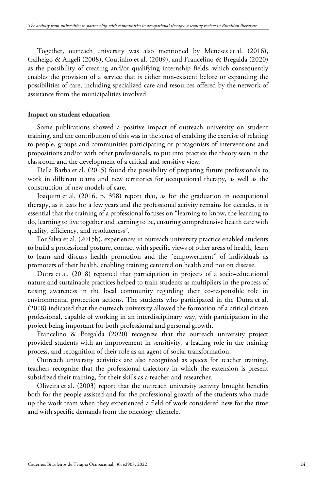Together, outreach university was also mentioned by Meneses et al. (2016), Galheigo & Angeli (2008), Coutinho et al. (2009), and Francelino & Bregalda (2020) as the possibility of creating and/or qualifying internship fields, which consequently enables the provision of a service that is either non-existent before or expanding the possibilities of care, including specialized care and resources offered by the network of assistance from the municipalities involved.

## **Impact on student education**

Some publications showed a positive impact of outreach university on student training, and the contribution of this was in the sense of enabling the exercise of relating to people, groups and communities participating or protagonists of interventions and propositions and/or with other professionals, to put into practice the theory seen in the classroom and the development of a critical and sensitive view.

Della Barba et al. (2015) found the possibility of preparing future professionals to work in different teams and new territories for occupational therapy, as well as the construction of new models of care.

Joaquim et al. (2016, p. 398) report that, as for the graduation in occupational therapy, as it lasts for a few years and the professional activity remains for decades, it is essential that the training of a professional focuses on "learning to know, the learning to do, learning to live together and learning to be, ensuring comprehensive health care with quality, efficiency, and resoluteness".

For Silva et al. (2015b), experiences in outreach university practice enabled students to build a professional posture, contact with specific views of other areas of health, learn to learn and discuss health promotion and the "empowerment" of individuals as promoters of their health, enabling training centered on health and not on disease.

Dutra et al. (2018) reported that participation in projects of a socio-educational nature and sustainable practices helped to train students as multipliers in the process of raising awareness in the local community regarding their co-responsible role in environmental protection actions. The students who participated in the Dutra et al. (2018) indicated that the outreach university allowed the formation of a critical citizen professional, capable of working in an interdisciplinary way, with participation in the project being important for both professional and personal growth.

Francelino & Bregalda (2020) recognize that the outreach university project provided students with an improvement in sensitivity, a leading role in the training process, and recognition of their role as an agent of social transformation.

Outreach university activities are also recognized as spaces for teacher training, teachers recognize that the professional trajectory in which the extension is present subsidized their training, for their skills as a teacher and researcher.

Oliveira et al. (2003) report that the outreach university activity brought benefits both for the people assisted and for the professional growth of the students who made up the work team when they experienced a field of work considered new for the time and with specific demands from the oncology clientele.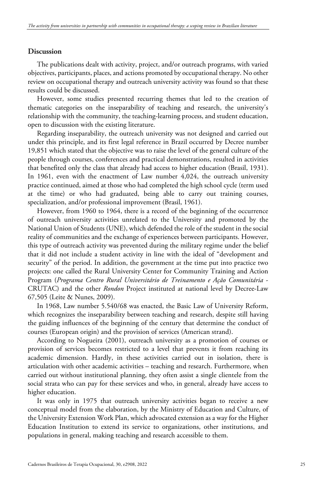# **Discussion**

The publications dealt with activity, project, and/or outreach programs, with varied objectives, participants, places, and actions promoted by occupational therapy. No other review on occupational therapy and outreach university activity was found so that these results could be discussed.

However, some studies presented recurring themes that led to the creation of thematic categories on the inseparability of teaching and research, the university's relationship with the community, the teaching-learning process, and student education, open to discussion with the existing literature.

Regarding inseparability, the outreach university was not designed and carried out under this principle, and its first legal reference in Brazil occurred by Decree number 19,851 which stated that the objective was to raise the level of the general culture of the people through courses, conferences and practical demonstrations, resulted in activities that benefited only the class that already had access to higher education (Brasil, 1931). In 1961, even with the enactment of Law number 4,024, the outreach university practice continued, aimed at those who had completed the high school cycle (term used at the time) or who had graduated, being able to carry out training courses, specialization, and/or professional improvement (Brasil, 1961).

However, from 1960 to 1964, there is a record of the beginning of the occurrence of outreach university activities unrelated to the University and promoted by the National Union of Students (UNE), which defended the role of the student in the social reality of communities and the exchange of experiences between participants. However, this type of outreach activity was prevented during the military regime under the belief that it did not include a student activity in line with the ideal of "development and security" of the period. In addition, the government at the time put into practice two projects: one called the Rural University Center for Community Training and Action Program (*Programa Centro Rural Universitário de Treinamento e Ação Comunitária* - CRUTAC) and the other *Rondon* Project instituted at national level by Decree-Law 67,505 (Leite & Nunes, 2009).

In 1968, Law number 5.540/68 was enacted, the Basic Law of University Reform, which recognizes the inseparability between teaching and research, despite still having the guiding influences of the beginning of the century that determine the conduct of courses (European origin) and the provision of services (American strand).

According to Nogueira (2001), outreach university as a promotion of courses or provision of services becomes restricted to a level that prevents it from reaching its academic dimension. Hardly, in these activities carried out in isolation, there is articulation with other academic activities – teaching and research. Furthermore, when carried out without institutional planning, they often assist a single clientele from the social strata who can pay for these services and who, in general, already have access to higher education.

It was only in 1975 that outreach university activities began to receive a new conceptual model from the elaboration, by the Ministry of Education and Culture, of the University Extension Work Plan, which advocated extension as a way for the Higher Education Institution to extend its service to organizations, other institutions, and populations in general, making teaching and research accessible to them.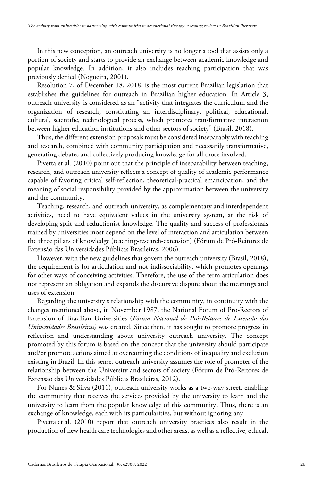In this new conception, an outreach university is no longer a tool that assists only a portion of society and starts to provide an exchange between academic knowledge and popular knowledge. In addition, it also includes teaching participation that was previously denied (Nogueira, 2001).

Resolution 7, of December 18, 2018, is the most current Brazilian legislation that establishes the guidelines for outreach in Brazilian higher education. In Article 3, outreach university is considered as an "activity that integrates the curriculum and the organization of research, constituting an interdisciplinary, political, educational, cultural, scientific, technological process, which promotes transformative interaction between higher education institutions and other sectors of society" (Brasil, 2018).

Thus, the different extension proposals must be considered inseparably with teaching and research, combined with community participation and necessarily transformative, generating debates and collectively producing knowledge for all those involved.

Pivetta et al. (2010) point out that the principle of inseparability between teaching, research, and outreach university reflects a concept of quality of academic performance capable of favoring critical self-reflection, theoretical-practical emancipation, and the meaning of social responsibility provided by the approximation between the university and the community.

Teaching, research, and outreach university, as complementary and interdependent activities, need to have equivalent values in the university system, at the risk of developing split and reductionist knowledge. The quality and success of professionals trained by universities most depend on the level of interaction and articulation between the three pillars of knowledge (teaching-research-extension) (Fórum de Pró-Reitores de Extensão das Universidades Públicas Brasileiras, 2006).

However, with the new guidelines that govern the outreach university (Brasil, 2018), the requirement is for articulation and not indissociability, which promotes openings for other ways of conceiving activities. Therefore, the use of the term articulation does not represent an obligation and expands the discursive dispute about the meanings and uses of extension.

Regarding the university's relationship with the community, in continuity with the changes mentioned above, in November 1987, the National Forum of Pro-Rectors of Extension of Brazilian Universities (*Fórum Nacional de Pró-Reitores de Extensão das Universidades Brasileiras)* was created. Since then, it has sought to promote progress in reflection and understanding about university outreach university. The concept promoted by this forum is based on the concept that the university should participate and/or promote actions aimed at overcoming the conditions of inequality and exclusion existing in Brazil. In this sense, outreach university assumes the role of promoter of the relationship between the University and sectors of society (Fórum de Pró-Reitores de Extensão das Universidades Públicas Brasileiras, 2012).

For Nunes & Silva (2011), outreach university works as a two-way street, enabling the community that receives the services provided by the university to learn and the university to learn from the popular knowledge of this community. Thus, there is an exchange of knowledge, each with its particularities, but without ignoring any.

Pivetta et al. (2010) report that outreach university practices also result in the production of new health care technologies and other areas, as well as a reflective, ethical,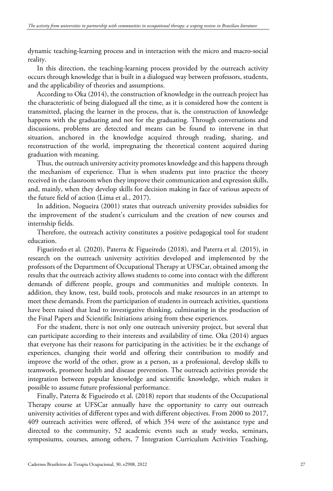dynamic teaching-learning process and in interaction with the micro and macro-social reality.

In this direction, the teaching-learning process provided by the outreach activity occurs through knowledge that is built in a dialogued way between professors, students, and the applicability of theories and assumptions.

According to Oka (2014), the construction of knowledge in the outreach project has the characteristic of being dialogued all the time, as it is considered how the content is transmitted, placing the learner in the process, that is, the construction of knowledge happens with the graduating and not for the graduating. Through conversations and discussions, problems are detected and means can be found to intervene in that situation, anchored in the knowledge acquired through reading, sharing, and reconstruction of the world, impregnating the theoretical content acquired during graduation with meaning.

Thus, the outreach university activity promotes knowledge and this happens through the mechanism of experience. That is when students put into practice the theory received in the classroom when they improve their communication and expression skills, and, mainly, when they develop skills for decision making in face of various aspects of the future field of action (Lima et al., 2017).

In addition, Nogueira (2001) states that outreach university provides subsidies for the improvement of the student's curriculum and the creation of new courses and internship fields.

Therefore, the outreach activity constitutes a positive pedagogical tool for student education.

Figueiredo et al. (2020), Paterra & Figueiredo (2018), and Paterra et al. (2015), in research on the outreach university activities developed and implemented by the professors of the Department of Occupational Therapy at UFSCar, obtained among the results that the outreach activity allows students to come into contact with the different demands of different people, groups and communities and multiple contexts. In addition, they know, test, build tools, protocols and make resources in an attempt to meet these demands. From the participation of students in outreach activities, questions have been raised that lead to investigative thinking, culminating in the production of the Final Papers and Scientific Initiations arising from these experiences.

For the student, there is not only one outreach university project, but several that can participate according to their interests and availability of time. Oka (2014) argues that everyone has their reasons for participating in the activities: be it the exchange of experiences, changing their world and offering their contribution to modify and improve the world of the other, grow as a person, as a professional, develop skills to teamwork, promote health and disease prevention. The outreach activities provide the integration between popular knowledge and scientific knowledge, which makes it possible to assume future professional performance.

Finally, Paterra & Figueiredo et al. (2018) report that students of the Occupational Therapy course at UFSCar annually have the opportunity to carry out outreach university activities of different types and with different objectives. From 2000 to 2017, 409 outreach activities were offered, of which 354 were of the assistance type and directed to the community, 52 academic events such as study weeks, seminars, symposiums, courses, among others, 7 Integration Curriculum Activities Teaching,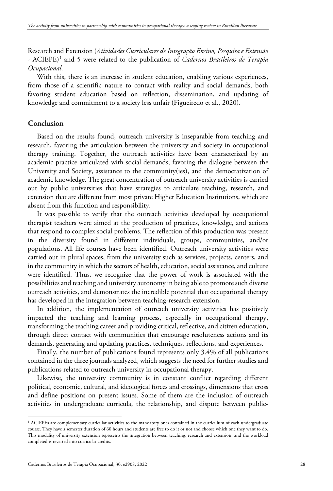Research and Extension (*Atividades Curriculares de Integração Ensino, Pesquisa e Extensão* - ACIEPE)[1](#page-28-0) and 5 were related to the publication of *Cadernos Brasileiros de Terapia Ocupacional*.

With this, there is an increase in student education, enabling various experiences, from those of a scientific nature to contact with reality and social demands, both favoring student education based on reflection, dissemination, and updating of knowledge and commitment to a society less unfair (Figueiredo et al., 2020).

## **Conclusion**

Based on the results found, outreach university is inseparable from teaching and research, favoring the articulation between the university and society in occupational therapy training. Together, the outreach activities have been characterized by an academic practice articulated with social demands, favoring the dialogue between the University and Society, assistance to the community(ies), and the democratization of academic knowledge. The great concentration of outreach university activities is carried out by public universities that have strategies to articulate teaching, research, and extension that are different from most private Higher Education Institutions, which are absent from this function and responsibility.

It was possible to verify that the outreach activities developed by occupational therapist teachers were aimed at the production of practices, knowledge, and actions that respond to complex social problems. The reflection of this production was present in the diversity found in different individuals, groups, communities, and/or populations. All life courses have been identified. Outreach university activities were carried out in plural spaces, from the university such as services, projects, centers, and in the community in which the sectors of health, education, social assistance, and culture were identified. Thus, we recognize that the power of work is associated with the possibilities and teaching and university autonomy in being able to promote such diverse outreach activities, and demonstrates the incredible potential that occupational therapy has developed in the integration between teaching-research-extension.

In addition, the implementation of outreach university activities has positively impacted the teaching and learning process, especially in occupational therapy, transforming the teaching career and providing critical, reflective, and citizen education, through direct contact with communities that encourage resoluteness actions and its demands, generating and updating practices, techniques, reflections, and experiences.

Finally, the number of publications found represents only 3.4% of all publications contained in the three journals analyzed, which suggests the need for further studies and publications related to outreach university in occupational therapy.

Likewise, the university community is in constant conflict regarding different political, economic, cultural, and ideological forces and crossings, dimensions that cross and define positions on present issues. Some of them are the inclusion of outreach activities in undergraduate curricula, the relationship, and dispute between public-

<sup>&</sup>lt;sup>1</sup> ACIEPEs are complementary curricular activities to the mandatory ones contained in the curriculum of each undergraduate course. They have a semester duration of 60 hours and students are free to do it or not and choose which one they want to do. This modality of university extension represents the integration between teaching, research and extension, and the workload completed is reverted into curricular credits.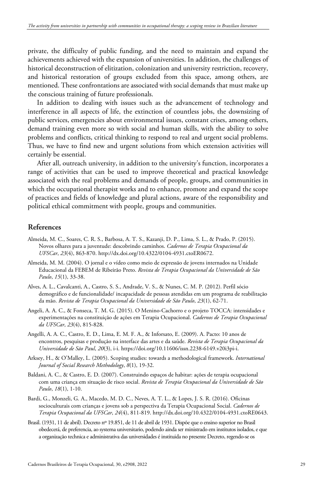private, the difficulty of public funding, and the need to maintain and expand the achievements achieved with the expansion of universities. In addition, the challenges of historical deconstruction of elitization, colonization and university restriction, recovery, and historical restoration of groups excluded from this space, among others, are mentioned. These confrontations are associated with social demands that must make up the conscious training of future professionals.

In addition to dealing with issues such as the advancement of technology and interference in all aspects of life, the extinction of countless jobs, the downsizing of public services, emergencies about environmental issues, constant crises, among others, demand training even more so with social and human skills, with the ability to solve problems and conflicts, critical thinking to respond to real and urgent social problems. Thus, we have to find new and urgent solutions from which extension activities will certainly be essential.

After all, outreach university, in addition to the university's function, incorporates a range of activities that can be used to improve theoretical and practical knowledge associated with the real problems and demands of people, groups, and communities in which the occupational therapist works and to enhance, promote and expand the scope of practices and fields of knowledge and plural actions, aware of the responsibility and political ethical commitment with people, groups and communities.

## **References**

- Almeida, M. C., Soares, C. R. S., Barbosa, A. T. S., Kazanji, D. P., Lima, S. L., & Prado, P. (2015). Novos olhares para a juventude: descobrindo caminhos. *Cadernos de Terapia Ocupacional da UFSCar*, *23*(4), 863-870. http://dx.doi.org/10.4322/0104-4931.ctoER0672.
- Almeida, M. M. (2004). O jornal e o vídeo como meio de expressão de jovens internados na Unidade Educacional da FEBEM de Ribeirão Preto. *Revista de Terapia Ocupacional da Universidade de São Paulo*, *15*(1), 33-38.
- Alves, A. L., Cavalcanti, A., Castro, S. S., Andrade, V. S., & Nunes, C. M. P. (2012). Perfil sócio demográfico e de funcionalidade/ incapacidade de pessoas atendidas em um programa de reabilitação da mão. *Revista de Terapia Ocupacional da Universidade de São Paulo*, *23*(1), 62-71.
- Angeli, A. A. C., & Fonseca, T. M. G. (2015). O Menino-Cachorro e o projeto TOCCA: intensidades e experimentações na constituição de ações em Terapia Ocupacional. *Cadernos de Terapia Ocupacional da UFSCar*, *23*(4), 815-828.
- Angelli, A. A. C., Castro, E. D., Lima, E. M. F. A., & Inforsato, E. (2009). A. Pacto: 10 anos de encontros, pesquisas e produção na interface das artes e da saúde. *Revista de Terapia Ocupacional da Universidade de São Paul*, *20*(3), i-i. https://doi.org/10.11606/issn.2238-6149.v20i3pi-i.
- Arksey, H., & O'Malley, L. (2005). Scoping studies: towards a methodological framework. *International Journal of Social Research Methodology*, *8*(1), 19-32.
- Baldani, A. C., & Castro, E. D. (2007). Construindo espaços de habitar: ações de terapia ocupacional com uma criança em situação de risco social. *Revista de Terapia Ocupacional da Universidade de São Paulo*, *18*(1), 1-10.
- Bardi, G., Monzeli, G. A., Macedo, M. D. C., Neves, A. T. L., & Lopes, J. S. R. (2016). Oficinas socioculturais com crianças e jovens sob a perspectiva da Terapia Ocupacional Social. *Cadernos de Terapia Ocupacional da UFSCar*, *24*(4), 811-819. http://dx.doi.org/10.4322/0104-4931.ctoRE0643.
- <span id="page-28-0"></span>Brasil. (1931, 11 de abril). Decreto nº 19.851, de 11 de abril de 1931. Dispõe que o ensino superior no Brasil obedecerá, de preferencia, ao systema universitario, podendo ainda ser ministrado em institutos isolados, e que a organização technica e administrativa das universidades é instituida no presente Decreto, regendo-se os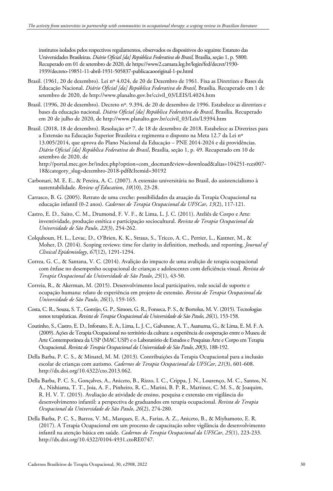institutos isolados pelos respectivos regulamentos, observados os dispositivos do seguinte Estatuto das Universidades Brasileiras. *Diário Oficial [da] República Federativa do Brasil,* Brasília, seção 1, p. 5800. Recuperado em 01 de setembro de 2020, de https://www2.camara.leg.br/legin/fed/decret/1930- 1939/decreto-19851-11-abril-1931-505837-publicacaooriginal-1-pe.html

- Brasil. (1961, 20 de dezembro). Lei nº 4.024, de 20 de Dezembro de 1961. Fixa as Diretrizes e Bases da Educação Nacional. *Diário Oficial [da] República Federativa do Brasil,* Brasília. Recuperado em 1 de setembro de 2020, de http://www.planalto.gov.br/ccivil\_03/LEIS/L4024.htm
- Brasil. (1996, 20 de dezembro). Decreto nº. 9.394, de 20 de dezembro de 1996. Estabelece as diretrizes e bases da educação nacional. *Diário Oficial [da] República Federativa do Brasil,* Brasília. Recuperado em 20 de julho de 2020, de http://www.planalto.gov.br/ccivil\_03/Leis/L9394.htm
- Brasil. (2018, 18 de dezembro). Resolução nº 7, de 18 de dezembro de 2018. Estabelece as Diretrizes para a Extensão na Educação Superior Brasileira e regimenta o disposto na Meta 12.7 da Lei nº 13.005/2014, que aprova do Plano Nacional da Educação – PNE 2014-2024 e dá providências. *Diário Oficial [da] República Federativa do Brasil*, Brasília, seção 1, p. 49. Recuperado em 10 de setembro de 2020, de

http://portal.mec.gov.br/index.php?option=com\_docman&view=download&alias=104251-rces007- 18&category\_slug=dezembro-2018-pdf&Itemid=30192

- Carbonari, M. E. E., & Pereira, A. C. (2007). A extensão universitária no Brasil, do assistencialismo à sustentabilidade. *Review of Education*, *10*(10), 23-28.
- Carrasco, B. G. (2005). Retrato de uma creche: possibilidades da atuação da Terapia Ocupacional na educação infantil (0-2 anos). *Cadernos de Terapia Ocupacional da UFSCar*, *13*(2), 117-121.
- Castro, E. D., Saito, C. M., Drumond, F. V. F., & Lima, L. J. C. (2011). Ateliês de Corpo e Arte: inventividade, produção estética e participação sociocultural. *Revista de Terapia Ocupacional da Universidade de São Paulo*, *22*(3), 254-262.
- Colquhoun, H. L., Levac, D., O'Brien, K. K., Straus, S., Tricco, A. C., Perrier, L., Kastner, M., & Moher, D. (2014). Scoping reviews: time for clarity in definition, methods, and reporting. *Journal of Clinical Epidemiology*, *67*(12), 1291-1294.
- Correa, G. C., & Santana, V. C. (2014). Avalição do impacto de uma avalição de terapia ocupacional com ênfase no desempenho ocupacional de crianças e adolescentes com deficiência visual. *Revista de Terapia Ocupacional da Universidade de São Paulo*, *25*(1), 43-50.
- Correia, R., & Akerman, M. (2015). Desenvolvimento local participativo, rede social de suporte e ocupação humana: relato de experiência em projeto de extensão. *Revista de Terapia Ocupacional da Universidade de São Paulo*, *26*(1), 159-165.
- Costa, C. R., Souza, S. T., Gontijo, G. P., Simoes, G. R., Fonseca, P. S., & Bortolus, M. V. (2015). Tecnologias sonos terapêuticas. *Revista de Terapia Ocupacional da Universidade de São Paulo*, *26*(1), 153-158.
- Coutinho, S., Castro, E. D., Inforsato, E. A., Lima, L. J. C., Galvanese, A. T., Asanuma, G., & Lima, E. M. F. A. (2009). Ações de Terapia Ocupacional no território da cultura: a experiência de cooperação entre o Museu de Arte Contemporânea da USP (MAC USP) e o Laboratório de Estudos e Pesquisas Arte e Corpo em Terapia Ocupacional. *Revista de Terapia Ocupacional da Universidade de São Paulo*, *20*(3), 188-192.
- Della Barba, P. C. S., & Minatel, M. M. (2013). Contribuições da Terapia Ocupacional para a inclusão escolar de crianças com autismo. *Cadernos de Terapia Ocupacional da UFSCar*, *21*(3), 601-608. http://dx.doi.org/10.4322/cto.2013.062.
- Della Barba, P. C. S., Gonçalves, A., Aniceto, B., Rizzo, I. C., Crippa, J. N., Lourenço, M. C., Santos, N. A., Nishiama, T. T., Joia, A. F., Pinheiro, R. C., Marini, B. P. R., Martinez, C. M. S., & Joaquim, R. H. V. T. (2015). Avaliação de atividade de ensino, pesquisa e extensão em vigilância do desenvolvimento infantil: a perspectiva de graduandos em terapia ocupacional. *Revista de Terapia Ocupacional da Universidade de São Paulo*, *26*(2), 274-280.
- Della Barba, P. C. S., Barros, V. M., Marques, E. A., Farias, A. Z., Aniceto, B., & Miyhamoto, E. R. (2017). A Terapia Ocupacional em um processo de capacitação sobre vigilância do desenvolvimento infantil na atenção básica em saúde. *Cadernos de Terapia Ocupacional da UFSCar*, *25*(1), 223-233. http://dx.doi.org/10.4322/0104-4931.ctoRE0747.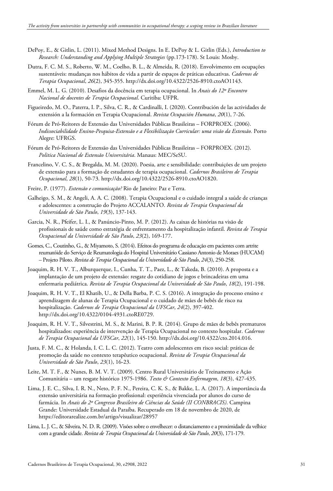- DePoy, E., & Gitlin, L. (2011). Mixed Method Designs. In E. DePoy & L. Gitlin (Eds.), *Introduction to Research: Understanding and Applying Multiple Strategies* (pp.173-178). St Louis: Mosby.
- Dutra, F. C. M. S., Roberto, W. M., Coelho, B. L., & Almeida, R. (2018). Envolvimento em ocupações sustentáveis: mudanças nos hábitos de vida a partir de espaços de práticas educativas. *Cadernos de Terapia Ocupacional*, *26*(2), 345-355. http://dx.doi.org/10.4322/2526-8910.ctoAO1143.
- Emmel, M. L. G. (2010). Desafios da docência em terapia ocupacional. In *Anais do 12º Encontro Nacional de docentes de Terapia Ocupacional*. Curitiba: UFPR.
- Figueiredo, M. O., Paterra, I. P., Silva, C. R., & Cardinalli, I. (2020). Contribución de las actividades de extensión a la formación en Terapia Ocupacional. *Revista Ocupación Humana*, *20*(1), 7-26.
- Fórum de Pró-Reitores de Extensão das Universidades Públicas Brasileiras FORPROEX. (2006). *Indissociabilidade Ensino-Pesquisa-Extensão e a Flexibilização Curricular: uma visão da Extensão.* Porto Alegre: UFRGS.
- Fórum de Pró-Reitores de Extensão das Universidades Públicas Brasileiras FORPROEX. (2012). *Politica Nacional de Extensão Universitária*. Manaus: MEC/SeSU.
- Francelino, V. C. S., & Bregalda, M. M. (2020). Poesia, arte e sensibilidade: contribuições de um projeto de extensão para a formação de estudantes de terapia ocupacional. *Cadernos Brasileiros de Terapia Ocupacional*, *28*(1), 50-73. http://dx.doi.org/10.4322/2526-8910.ctoAO1820.
- Freire, P. (1977). *Extensão e comunicação?* Rio de Janeiro: Paz e Terra.
- Galheigo, S. M., & Angeli, A. A. C. (2008). Terapia Ocupacional e o cuidado integral a saúde de crianças e adolescentes: a construção do Projeto ACCALANTO. *Revista de Terapia Ocupacional da Universidade de São Paulo*, *19*(3), 137-143.
- Garcia, N. R., Pfeifer, L. I., & Panúncio-Pinto, M. P. (2012). As caixas de histórias na visão de profissionais de saúde como estratégia de enfrentamento da hospitalização infantil. *Revista de Terapia Ocupacional da Universidade de São Paulo*, *23*(2), 169-177.
- Gomes, C., Coutinho, G., & Miyamoto, S. (2014). Efeitos do programa de educação em pacientes com artrite reumatóide do Serviço de Reumatologia do Hospital Universitário Cassiano Antonio de Moraes (HUCAM) – Projeto Piloto. *Revista de Terapia Ocupacional da Universidade de São Paulo*, *24*(3), 250-258.
- Joaquim, R. H. V. T., Alburquerque, I., Cunha, T. T., Paez, L., & Takeda, B. (2010). A proposta e a implantação de um projeto de extensão: resgate do cotidiano de jogos e brincadeiras em uma enfermaria pediátrica. *Revista de Terapia Ocupacional da Universidade de São Paulo*, *18*(2), 191-198.
- Joaquim, R. H. V. T., El Khatib, U., & Della Barba, P. C. S. (2016). A integração do processo ensino e aprendizagem de alunas de Terapia Ocupacional e o cuidado de mães de bebês de risco na hospitalização. *Cadernos de Terapia Ocupacional da UFSCar*, *24*(2), 397-402. http://dx.doi.org/10.4322/0104-4931.ctoRE0729.
- Joaquim, R. H. V. T., Silvestrini, M. S., & Marini, B. P. R. (2014). Grupo de mães de bebês prematuros hospitalizados: experiência de intervenção de Terapia Ocupacional no contexto hospitalar. *Cadernos de Terapia Ocupacional da UFSCar*, *22*(1), 145-150. http://dx.doi.org/10.4322/cto.2014.016.
- Justa, F. M. C., & Holanda, I. C. L. C. (2012). Teatro com adolescentes em risco social: práticas de promoção da saúde no contexto terapêutico ocupacional. *Revista de Terapia Ocupacional da Universidade de São Paulo*, *23*(1), 16-23.
- Leite, M. T. F., & Nunes, B. M. V. T. (2009). Centro Rural Universitário de Treinamento e Ação Comunitária – um resgate histórico 1975-1986. *Texto & Contexto Enfermagem*, *18*(3), 427-435.
- Lima, J. E. C., Silva, I. R. N., Neto, P. F. N., Pereira, C. K. S., & Bakke, L. A. (2017). A importância da extensão universitária na formação profissional: experiência vivenciada por alunos do curso de farmácia. In *Anais do 2º Congresso Brasileiro de Ciências da Saúde (II CONBRACIS)*. Campina Grande: Universidade Estadual da Paraíba. Recuperado em 18 de novembro de 2020, de https://editorarealize.com.br/artigo/visualizar/28957
- Lima, L. J. C., & Silveira, N. D. R. (2009). Visões sobre o envelhecer: o distanciamento e a proximidade da velhice com a grande cidade. *Revista de Terapia Ocupacional da Universidade de São Paulo*, *20*(3), 171-179.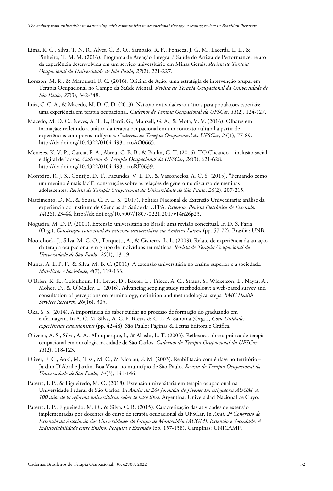- Lima, R. C., Silva, T. N. R., Alves, G. B. O., Sampaio, R. F., Fonseca, J. G. M., Lacerda, L. L., & Pinheiro, T. M. M. (2016). Programa de Atenção Integral à Saúde do Artista de Performance: relato da experiência desenvolvida em um serviço universitário em Minas Gerais. *Revista de Terapia Ocupacional da Universidade de São Paulo*, *27*(2), 221-227.
- Lorezon, M. R., & Marquetti, F. C. (2016). Oficina de Ação: uma estratégia de intervenção grupal em Terapia Ocupacional no Campo da Saúde Mental. *Revista de Terapia Ocupacional da Universidade de São Paulo*, *27*(3), 342-348.
- Luiz, C. C. A., & Macedo, M. D. C. D. (2013). Natação e atividades aquáticas para populações especiais: uma experiência em terapia ocupacional. *Cadernos de Terapia Ocupacional da UFSCar*, *11*(2), 124-127.
- Macedo, M. D. C., Neves, A. T. L., Bardi, G., Monzeli, G. A., & Mota, V. V. (2016). Olhares em formação: refletindo a prática da terapia ocupacional em um contexto cultural a partir de experiências com povos indígenas. *Cadernos de Terapia Ocupacional da UFSCar*, *24*(1), 77-89. http://dx.doi.org/10.4322/0104-4931.ctoAO0665.
- Meneses, K. V. P., Garcia, P. A., Abreu, C. B. B., & Paulin, G. T. (2016). TO Clicando inclusão social e digital de idosos. *Cadernos de Terapia Ocupacional da UFSCar*, *24*(3), 621-628. http://dx.doi.org/10.4322/0104-4931.ctoRE0639.
- Monteiro, R. J. S., Gontijo, D. T., Facundes, V. L. D., & Vasconcelos, A. C. S. (2015). "Pensando como um menino é mais fácil": construções sobre as relações de gênero no discurso de meninas adolescentes. *Revista de Terapia Ocupacional da Universidade de São Paulo*, *26*(2), 207-215.
- Nascimento, D. M., & Souza, C. F. L. S. (2017). Política Nacional de Extensão Universitária: análise da experiência do Instituto de Ciências da Saúde da UFPA. *Extensio: Revista Eletrônica de Extensão, 14*(26), 23-44. http://dx.doi.org/10.5007/1807-0221.2017v14n26p23.
- Nogueira, M. D. P. (2001). Extensão universitária no Brasil: uma revisão conceitual. In D. S. Faria (Org.), *Construção conceitual da extensão universitária na América Latina* (pp. 57-72). Brasília: UNB.
- Noordhoek, J., Silva, M. C. O., Torquetti, A., & Cisneros, L. L. (2009). Relato de experiência da atuação da terapia ocupacional em grupo de indivíduos reumáticos. *Revista de Terapia Ocupacional da Universidade de São Paulo*, *20*(1), 13-19.
- Nunes, A. L. P. F., & Silva, M. B. C. (2011). A extensão universitária no ensino superior e a sociedade. *Mal-Estar e Sociedade*, *4*(7), 119-133.
- O'Brien, K. K., Colquhoun, H., Levac, D., Baxter, L., Tricco, A. C., Straus, S., Wickerson, L., Nayar, A., Moher, D., & O'Malley, L. (2016). Advancing scoping study methodology: a web-based survey and consultation of perceptions on terminology, definition and methodological steps. *BMC Health Services Research*, *26*(16), 305.
- Oka, S. S. (2014). A importância do saber cuidar no processo de formação do graduando em enfermagem. In A. C. M. Silva, A. C. P. Bretas & C. L. A. Santana (Orgs.), *Com-Unidade: experiências extensionistas* (pp. 42-48). São Paulo: Páginas & Letras Editora e Gráfica.
- Oliveira, A. S., Silva, A. A., Albuquerque, I., & Akashi, L. T. (2003). Reflexões sobre a prática de terapia ocupacional em oncologia na cidade de São Carlos. *Cadernos de Terapia Ocupacional da UFSCar*, *11*(2), 118-123.
- Oliver, F. C., Aoki, M., Tissi, M. C., & Nicolau, S. M. (2003). Reabilitação com ênfase no território Jardim D'Abril e Jardim Boa Vista, no município de São Paulo. *Revista de Terapia Ocupacional da Universidade de São Paulo*, *14*(3), 141-146.
- Paterra, I. P., & Figueiredo, M. O. (2018). Extensão universitária em terapia ocupacional na Universidade Federal de São Carlos. In *Anales da 26ª Jornadas de Jóvenes Investigadores AUGM. A 100 años de la reforma universitária: saber te hace libre*. Argentina: Universidad Nacional de Cuyo.
- Paterra, I. P., Figueiredo, M. O., & Silva, C. R. (2015). Caracterização das atividades de extensão implementadas por docentes do curso de terapia ocupacional da UFSCar. In *Anais 2º Congresso de Extensão da Associação das Universidades do Grupo de Montevidéu (AUGM). Extensão e Sociedade: A Indissociabilidade entre Ensino, Pesquisa e Extensão* (pp. 157-158). Campinas: UNICAMP.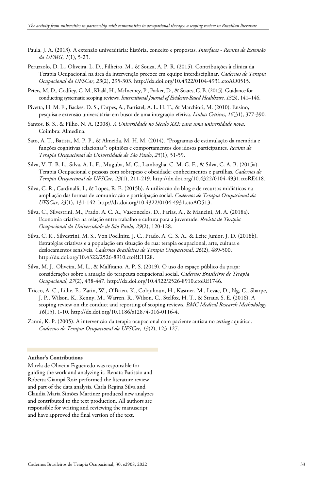- Paula, J. A. (2013). A extensão universitária: história, conceito e propostas. *Interfaces - Revista de Extensão da UFMG*, *1*(1), 5-23.
- Peruzzolo, D. L., Oliveira, L. D., Filheiro, M., & Souza, A. P. R. (2015). Contribuições à clínica da Terapia Ocupacional na área da intervenção precoce em equipe interdisciplinar. *Cadernos de Terapia Ocupacional da UFSCar*, *23*(2), 295-303. http://dx.doi.org/10.4322/0104-4931.ctoAO0515.
- Peters, M. D., Godfrey, C. M., Khalil, H., McInerney, P., Parker, D., & Soares, C. B. (2015). Guidance for conducting systematic scoping reviews. *International Journal of Evidence-Based Healthcare*, *13*(3), 141–146.
- Pivetta, H. M. F., Backes, D. S., Carpes, A., Battistel, A. L. H. T., & Marchiori, M. (2010). Ensino, pesquisa e extensão universitária: em busca de uma integração efetiva. *Linhas Críticas*, *16*(31), 377-390.
- Santos, B. S., & Filho, N. A. (2008). *A Universidade no Século XXI: para uma universidade nova*. Coimbra: Almedina.
- Sato, A. T., Batista, M. P. P., & Almeida, M. H. M. (2014). "Programas de estimulação da memória e funções cognitivas relacionas": opiniões e comportamentos dos idosos participantes. *Revista de Terapia Ocupacional da Universidade de São Paulo*, *25*(1), 51-59.
- Silva, V. T. B. L., Silva, A. L. F., Muguba, M. C., Lamboglia, C. M. G. F., & Silva, C. A. B. (2015a). Terapia Ocupacional e pessoas com sobrepeso e obesidade: conhecimentos e partilhas. *Cadernos de Terapia Ocupacional da UFSCar*, *23*(1), 211-219. http://dx.doi.org/10.4322/0104-4931.ctoRE418.
- Silva, C. R., Cardinalli, I., & Lopes, R. E. (2015b). A utilização do blog e de recursos midiáticos na ampliação das formas de comunicação e participação social. *Cadernos de Terapia Ocupacional da UFSCar*, *23*(1), 131-142. http://dx.doi.org/10.4322/0104-4931.ctoAO513.
- Silva, C., Silvestrini, M., Prado, A. C. A., Vasconcelos, D., Farias, A., & Mancini, M. A. (2018a). Economia criativa na relação entre trabalho e cultura para a juventude. *Revista de Terapia Ocupacional da Universidade de São Paulo*, *29*(2), 120-128.
- Silva, C. R., Silvestrini, M. S., Von Poellnitz, J. C., Prado, A. C. S. A., & Leite Junior, J. D. (2018b). Estratégias criativas e a população em situação de rua: terapia ocupacional, arte, cultura e deslocamentos sensíveis. *Cadernos Brasileiros de Terapia Ocupacional*, *26*(2), 489-500. http://dx.doi.org/10.4322/2526-8910.ctoRE1128.
- Silva, M. J., Oliveira, M. L., & Malfitano, A. P. S. (2019). O uso do espaço público da praça: considerações sobre a atuação do terapeuta ocupacional social. *Cadernos Brasileiros de Terapia Ocupacional*, *27*(2), 438-447. http://dx.doi.org/10.4322/2526-8910.ctoRE1746.
- Tricco, A. C., Lillie, E., Zarin, W., O'Brien, K., Colquhoun, H., Kastner, M., Levac, D., Ng, C., Sharpe, J. P., Wilson, K., Kenny, M., Warren, R., Wilson, C., Stelfox, H. T., & Straus, S. E. (2016). A scoping review on the conduct and reporting of scoping reviews. *BMC Medical Research Methodology*, *16*(15), 1-10. http://dx.doi.org/10.1186/s12874-016-0116-4.
- Zanni, K. P. (2005). A intervenção da terapia ocupacional com paciente autista no *setting* aquático. *Cadernos de Terapia Ocupacional da UFSCar*, *13*(2), 123-127.

#### **Author's Contributions**

Mirela de Oliveira Figueiredo was responsible for guiding the work and analyzing it. Renata Batistão and Roberta Giampá Roiz performed the literature review and part of the data analysis. Carla Regina Silva and Claudia Maria Simões Martinez produced new analyzes and contributed to the text production. All authors are responsible for writing and reviewing the manuscript and have approved the final version of the text.